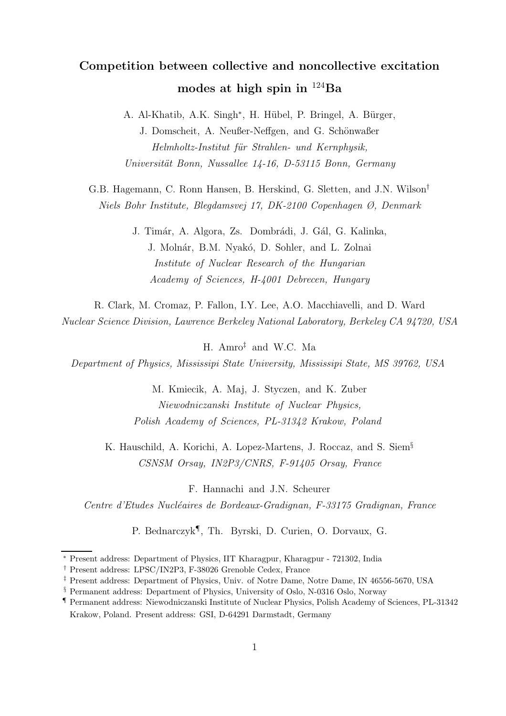# Competition between collective and noncollective excitation modes at high spin in  $^{124}Ba$

A. Al-Khatib, A.K. Singh<sup>\*</sup>, H. Hübel, P. Bringel, A. Bürger, J. Domscheit, A. Neußer-Neffgen, and G. Schönwaßer Helmholtz-Institut für Strahlen- und Kernphysik, Universität Bonn, Nussallee 14-16, D-53115 Bonn, Germany

G.B. Hagemann, C. Ronn Hansen, B. Herskind, G. Sletten, and J.N. Wilson† Niels Bohr Institute, Blegdamsvej 17, DK-2100 Copenhagen Ø, Denmark

> J. Timár, A. Algora, Zs. Dombrádi, J. Gál, G. Kalinka, J. Molnár, B.M. Nyakó, D. Sohler, and L. Zolnai Institute of Nuclear Research of the Hungarian Academy of Sciences, H-4001 Debrecen, Hungary

R. Clark, M. Cromaz, P. Fallon, I.Y. Lee, A.O. Macchiavelli, and D. Ward Nuclear Science Division, Lawrence Berkeley National Laboratory, Berkeley CA 94720, USA

H. Amro‡ and W.C. Ma

Department of Physics, Mississipi State University, Mississipi State, MS 39762, USA

M. Kmiecik, A. Maj, J. Styczen, and K. Zuber Niewodniczanski Institute of Nuclear Physics, Polish Academy of Sciences, PL-31342 Krakow, Poland

K. Hauschild, A. Korichi, A. Lopez-Martens, J. Roccaz, and S. Siem§ CSNSM Orsay, IN2P3/CNRS, F-91405 Orsay, France

F. Hannachi and J.N. Scheurer

Centre d'Etudes Nucléaires de Bordeaux-Gradignan, F-33175 Gradignan, France

P. Bednarczyk¶ , Th. Byrski, D. Curien, O. Dorvaux, G.

<sup>∗</sup> Present address: Department of Physics, IIT Kharagpur, Kharagpur - 721302, India

<sup>†</sup> Present address: LPSC/IN2P3, F-38026 Grenoble Cedex, France

<sup>‡</sup> Present address: Department of Physics, Univ. of Notre Dame, Notre Dame, IN 46556-5670, USA

<sup>§</sup> Permanent address: Department of Physics, University of Oslo, N-0316 Oslo, Norway

<sup>¶</sup> Permanent address: Niewodniczanski Institute of Nuclear Physics, Polish Academy of Sciences, PL-31342 Krakow, Poland. Present address: GSI, D-64291 Darmstadt, Germany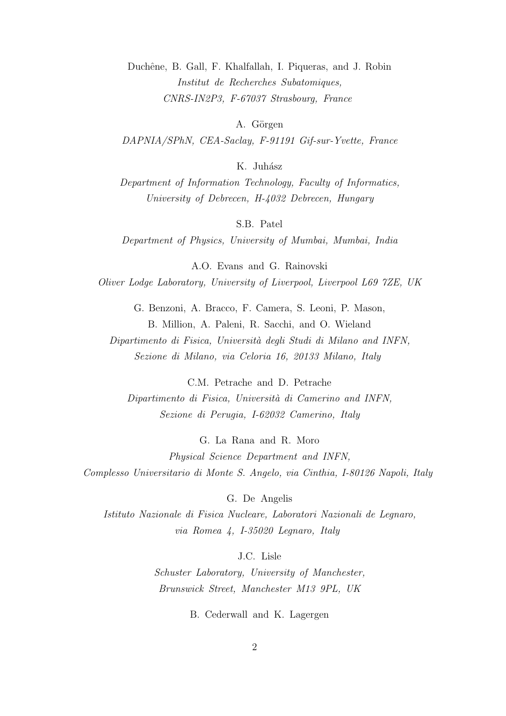Duchêne, B. Gall, F. Khalfallah, I. Piqueras, and J. Robin Institut de Recherches Subatomiques, CNRS-IN2P3, F-67037 Strasbourg, France

A. Görgen

DAPNIA/SPhN, CEA-Saclay, F-91191 Gif-sur-Yvette, France

K. Juhász

Department of Information Technology, Faculty of Informatics, University of Debrecen, H-4032 Debrecen, Hungary

S.B. Patel

Department of Physics, University of Mumbai, Mumbai, India

A.O. Evans and G. Rainovski Oliver Lodge Laboratory, University of Liverpool, Liverpool L69 7ZE, UK

> G. Benzoni, A. Bracco, F. Camera, S. Leoni, P. Mason, B. Million, A. Paleni, R. Sacchi, and O. Wieland

Dipartimento di Fisica, Università degli Studi di Milano and INFN, Sezione di Milano, via Celoria 16, 20133 Milano, Italy

C.M. Petrache and D. Petrache Dipartimento di Fisica, Università di Camerino and INFN, Sezione di Perugia, I-62032 Camerino, Italy

G. La Rana and R. Moro Physical Science Department and INFN, Complesso Universitario di Monte S. Angelo, via Cinthia, I-80126 Napoli, Italy

G. De Angelis

Istituto Nazionale di Fisica Nucleare, Laboratori Nazionali de Legnaro, via Romea 4, I-35020 Legnaro, Italy

J.C. Lisle

Schuster Laboratory, University of Manchester, Brunswick Street, Manchester M13 9PL, UK

B. Cederwall and K. Lagergen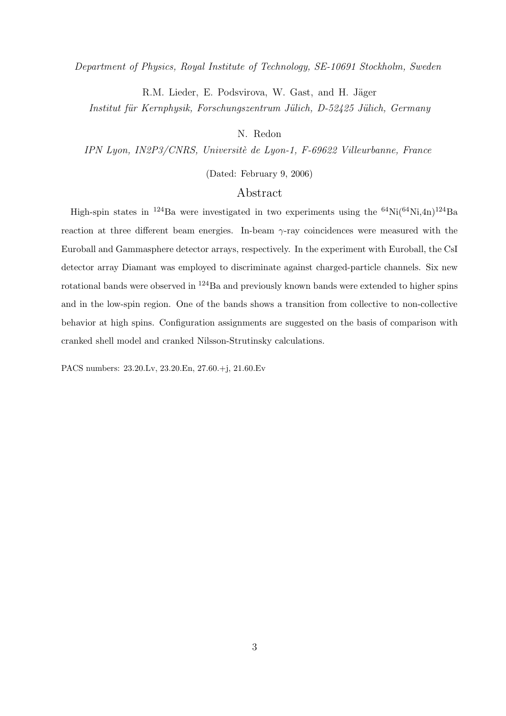Department of Physics, Royal Institute of Technology, SE-10691 Stockholm, Sweden

R.M. Lieder, E. Podsvirova, W. Gast, and H. Jäger

Institut für Kernphysik, Forschungszentrum Jülich, D-52425 Jülich, Germany

# N. Redon

IPN Lyon, IN2P3/CNRS, Universitè de Lyon-1, F-69622 Villeurbanne, France

(Dated: February 9, 2006)

# Abstract

High-spin states in <sup>124</sup>Ba were investigated in two experiments using the <sup>64</sup>Ni(<sup>64</sup>Ni,4n)<sup>124</sup>Ba reaction at three different beam energies. In-beam γ-ray coincidences were measured with the Euroball and Gammasphere detector arrays, respectively. In the experiment with Euroball, the CsI detector array Diamant was employed to discriminate against charged-particle channels. Six new rotational bands were observed in <sup>124</sup>Ba and previously known bands were extended to higher spins and in the low-spin region. One of the bands shows a transition from collective to non-collective behavior at high spins. Configuration assignments are suggested on the basis of comparison with cranked shell model and cranked Nilsson-Strutinsky calculations.

PACS numbers: 23.20.Lv, 23.20.En, 27.60.+j, 21.60.Ev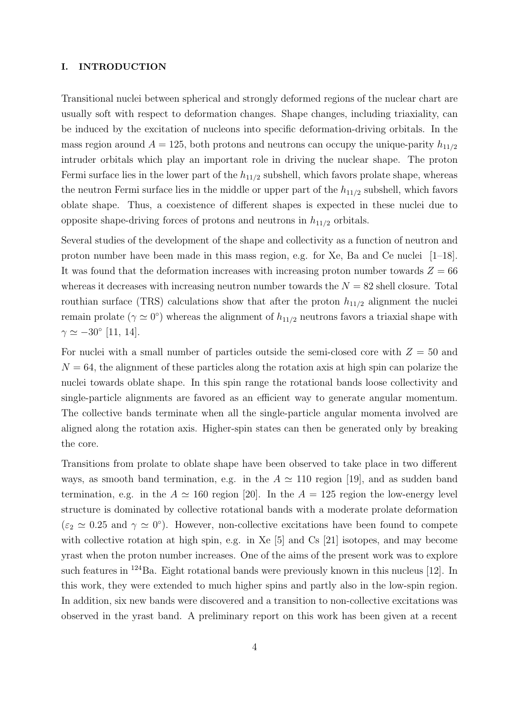#### I. INTRODUCTION

Transitional nuclei between spherical and strongly deformed regions of the nuclear chart are usually soft with respect to deformation changes. Shape changes, including triaxiality, can be induced by the excitation of nucleons into specific deformation-driving orbitals. In the mass region around  $A = 125$ , both protons and neutrons can occupy the unique-parity  $h_{11/2}$ intruder orbitals which play an important role in driving the nuclear shape. The proton Fermi surface lies in the lower part of the  $h_{11/2}$  subshell, which favors prolate shape, whereas the neutron Fermi surface lies in the middle or upper part of the  $h_{11/2}$  subshell, which favors oblate shape. Thus, a coexistence of different shapes is expected in these nuclei due to opposite shape-driving forces of protons and neutrons in  $h_{11/2}$  orbitals.

Several studies of the development of the shape and collectivity as a function of neutron and proton number have been made in this mass region, e.g. for Xe, Ba and Ce nuclei [1–18]. It was found that the deformation increases with increasing proton number towards  $Z = 66$ whereas it decreases with increasing neutron number towards the  $N = 82$  shell closure. Total routhian surface (TRS) calculations show that after the proton  $h_{11/2}$  alignment the nuclei remain prolate ( $\gamma \simeq 0^{\circ}$ ) whereas the alignment of  $h_{11/2}$  neutrons favors a triaxial shape with  $\gamma \simeq -30^{\circ}$  [11, 14].

For nuclei with a small number of particles outside the semi-closed core with  $Z = 50$  and  $N = 64$ , the alignment of these particles along the rotation axis at high spin can polarize the nuclei towards oblate shape. In this spin range the rotational bands loose collectivity and single-particle alignments are favored as an efficient way to generate angular momentum. The collective bands terminate when all the single-particle angular momenta involved are aligned along the rotation axis. Higher-spin states can then be generated only by breaking the core.

Transitions from prolate to oblate shape have been observed to take place in two different ways, as smooth band termination, e.g. in the  $A \simeq 110$  region [19], and as sudden band termination, e.g. in the  $A \simeq 160$  region [20]. In the  $A = 125$  region the low-energy level structure is dominated by collective rotational bands with a moderate prolate deformation  $(\varepsilon_2 \simeq 0.25$  and  $\gamma \simeq 0^{\circ})$ . However, non-collective excitations have been found to compete with collective rotation at high spin, e.g. in Xe [5] and Cs [21] isotopes, and may become yrast when the proton number increases. One of the aims of the present work was to explore such features in  $^{124}$ Ba. Eight rotational bands were previously known in this nucleus [12]. In this work, they were extended to much higher spins and partly also in the low-spin region. In addition, six new bands were discovered and a transition to non-collective excitations was observed in the yrast band. A preliminary report on this work has been given at a recent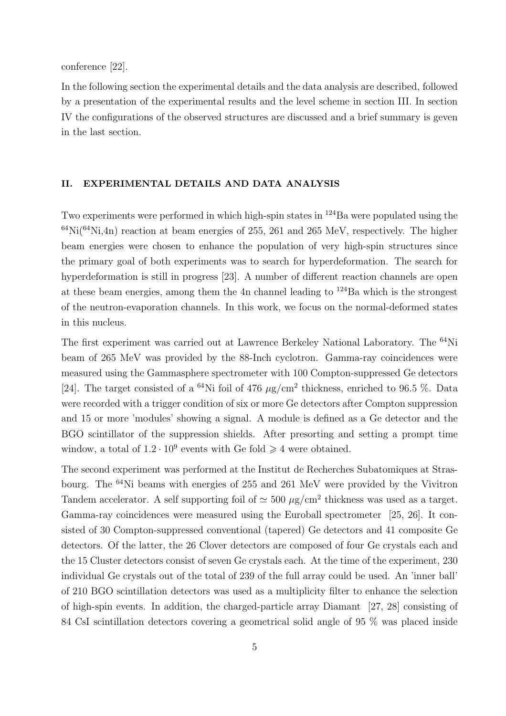conference [22].

In the following section the experimental details and the data analysis are described, followed by a presentation of the experimental results and the level scheme in section III. In section IV the configurations of the observed structures are discussed and a brief summary is geven in the last section.

#### II. EXPERIMENTAL DETAILS AND DATA ANALYSIS

Two experiments were performed in which high-spin states in <sup>124</sup>Ba were populated using the  $^{64}$ Ni( $^{64}$ Ni,4n) reaction at beam energies of 255, 261 and 265 MeV, respectively. The higher beam energies were chosen to enhance the population of very high-spin structures since the primary goal of both experiments was to search for hyperdeformation. The search for hyperdeformation is still in progress [23]. A number of different reaction channels are open at these beam energies, among them the 4n channel leading to  $124$ Ba which is the strongest of the neutron-evaporation channels. In this work, we focus on the normal-deformed states in this nucleus.

The first experiment was carried out at Lawrence Berkeley National Laboratory. The <sup>64</sup>Ni beam of 265 MeV was provided by the 88-Inch cyclotron. Gamma-ray coincidences were measured using the Gammasphere spectrometer with 100 Compton-suppressed Ge detectors [24]. The target consisted of a <sup>64</sup>Ni foil of 476  $\mu$ g/cm<sup>2</sup> thickness, enriched to 96.5 %. Data were recorded with a trigger condition of six or more Ge detectors after Compton suppression and 15 or more 'modules' showing a signal. A module is defined as a Ge detector and the BGO scintillator of the suppression shields. After presorting and setting a prompt time window, a total of  $1.2 \cdot 10^9$  events with Ge fold  $\geq 4$  were obtained.

The second experiment was performed at the Institut de Recherches Subatomiques at Strasbourg. The <sup>64</sup>Ni beams with energies of 255 and 261 MeV were provided by the Vivitron Tandem accelerator. A self supporting foil of  $\simeq 500 \ \mu g/cm^2$  thickness was used as a target. Gamma-ray coincidences were measured using the Euroball spectrometer [25, 26]. It consisted of 30 Compton-suppressed conventional (tapered) Ge detectors and 41 composite Ge detectors. Of the latter, the 26 Clover detectors are composed of four Ge crystals each and the 15 Cluster detectors consist of seven Ge crystals each. At the time of the experiment, 230 individual Ge crystals out of the total of 239 of the full array could be used. An 'inner ball' of 210 BGO scintillation detectors was used as a multiplicity filter to enhance the selection of high-spin events. In addition, the charged-particle array Diamant [27, 28] consisting of 84 CsI scintillation detectors covering a geometrical solid angle of 95 % was placed inside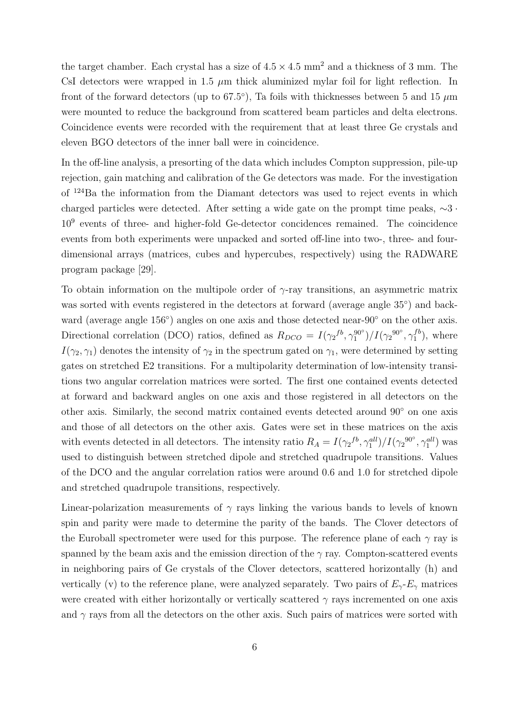the target chamber. Each crystal has a size of  $4.5 \times 4.5$  mm<sup>2</sup> and a thickness of 3 mm. The CsI detectors were wrapped in 1.5  $\mu$ m thick aluminized mylar foil for light reflection. In front of the forward detectors (up to 67.5<sup>o</sup>), Ta foils with thicknesses between 5 and 15  $\mu$ m were mounted to reduce the background from scattered beam particles and delta electrons. Coincidence events were recorded with the requirement that at least three Ge crystals and eleven BGO detectors of the inner ball were in coincidence.

In the off-line analysis, a presorting of the data which includes Compton suppression, pile-up rejection, gain matching and calibration of the Ge detectors was made. For the investigation of <sup>124</sup>Ba the information from the Diamant detectors was used to reject events in which charged particles were detected. After setting a wide gate on the prompt time peaks, ∼3 · 10<sup>9</sup> events of three- and higher-fold Ge-detector concidences remained. The coincidence events from both experiments were unpacked and sorted off-line into two-, three- and fourdimensional arrays (matrices, cubes and hypercubes, respectively) using the RADWARE program package [29].

To obtain information on the multipole order of  $\gamma$ -ray transitions, an asymmetric matrix was sorted with events registered in the detectors at forward (average angle  $35^{\circ}$ ) and backward (average angle 156°) angles on one axis and those detected near-90° on the other axis. Directional correlation (DCO) ratios, defined as  $R_{DCO} = I(\gamma_2^{fb}, \gamma_1^{90^{\circ}})/I(\gamma_2^{90^{\circ}}, \gamma_1^{fb})$  $_1^{\text{J0}}$ , where  $I(\gamma_2, \gamma_1)$  denotes the intensity of  $\gamma_2$  in the spectrum gated on  $\gamma_1$ , were determined by setting gates on stretched E2 transitions. For a multipolarity determination of low-intensity transitions two angular correlation matrices were sorted. The first one contained events detected at forward and backward angles on one axis and those registered in all detectors on the other axis. Similarly, the second matrix contained events detected around 90◦ on one axis and those of all detectors on the other axis. Gates were set in these matrices on the axis with events detected in all detectors. The intensity ratio  $R_A = I(\gamma_2^{fb}, \gamma_1^{all})/I(\gamma_2^{90^\circ}, \gamma_1^{all})$  was used to distinguish between stretched dipole and stretched quadrupole transitions. Values of the DCO and the angular correlation ratios were around 0.6 and 1.0 for stretched dipole and stretched quadrupole transitions, respectively.

Linear-polarization measurements of  $\gamma$  rays linking the various bands to levels of known spin and parity were made to determine the parity of the bands. The Clover detectors of the Euroball spectrometer were used for this purpose. The reference plane of each  $\gamma$  ray is spanned by the beam axis and the emission direction of the  $\gamma$  ray. Compton-scattered events in neighboring pairs of Ge crystals of the Clover detectors, scattered horizontally (h) and vertically (v) to the reference plane, were analyzed separately. Two pairs of  $E_{\gamma}$ - $E_{\gamma}$  matrices were created with either horizontally or vertically scattered  $\gamma$  rays incremented on one axis and  $\gamma$  rays from all the detectors on the other axis. Such pairs of matrices were sorted with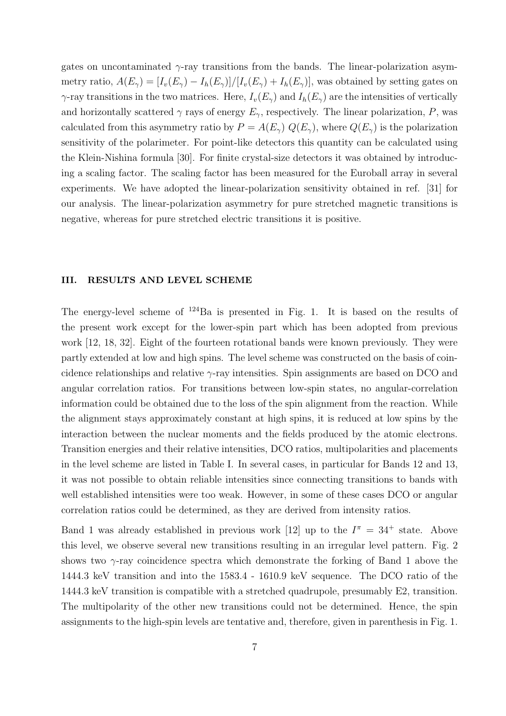gates on uncontaminated  $\gamma$ -ray transitions from the bands. The linear-polarization asymmetry ratio,  $A(E_{\gamma}) = [I_{v}(E_{\gamma}) - I_{h}(E_{\gamma})]/[I_{v}(E_{\gamma}) + I_{h}(E_{\gamma})]$ , was obtained by setting gates on  $\gamma$ -ray transitions in the two matrices. Here,  $I_v(E_\gamma)$  and  $I_h(E_\gamma)$  are the intensities of vertically and horizontally scattered  $\gamma$  rays of energy  $E_{\gamma}$ , respectively. The linear polarization, P, was calculated from this asymmetry ratio by  $P = A(E_{\gamma}) Q(E_{\gamma})$ , where  $Q(E_{\gamma})$  is the polarization sensitivity of the polarimeter. For point-like detectors this quantity can be calculated using the Klein-Nishina formula [30]. For finite crystal-size detectors it was obtained by introducing a scaling factor. The scaling factor has been measured for the Euroball array in several experiments. We have adopted the linear-polarization sensitivity obtained in ref. [31] for our analysis. The linear-polarization asymmetry for pure stretched magnetic transitions is negative, whereas for pure stretched electric transitions it is positive.

#### III. RESULTS AND LEVEL SCHEME

The energy-level scheme of <sup>124</sup>Ba is presented in Fig. 1. It is based on the results of the present work except for the lower-spin part which has been adopted from previous work [12, 18, 32]. Eight of the fourteen rotational bands were known previously. They were partly extended at low and high spins. The level scheme was constructed on the basis of coincidence relationships and relative γ-ray intensities. Spin assignments are based on DCO and angular correlation ratios. For transitions between low-spin states, no angular-correlation information could be obtained due to the loss of the spin alignment from the reaction. While the alignment stays approximately constant at high spins, it is reduced at low spins by the interaction between the nuclear moments and the fields produced by the atomic electrons. Transition energies and their relative intensities, DCO ratios, multipolarities and placements in the level scheme are listed in Table I. In several cases, in particular for Bands 12 and 13, it was not possible to obtain reliable intensities since connecting transitions to bands with well established intensities were too weak. However, in some of these cases DCO or angular correlation ratios could be determined, as they are derived from intensity ratios.

Band 1 was already established in previous work [12] up to the  $I^{\pi} = 34^{+}$  state. Above this level, we observe several new transitions resulting in an irregular level pattern. Fig. 2 shows two γ-ray coincidence spectra which demonstrate the forking of Band 1 above the 1444.3 keV transition and into the 1583.4 - 1610.9 keV sequence. The DCO ratio of the 1444.3 keV transition is compatible with a stretched quadrupole, presumably E2, transition. The multipolarity of the other new transitions could not be determined. Hence, the spin assignments to the high-spin levels are tentative and, therefore, given in parenthesis in Fig. 1.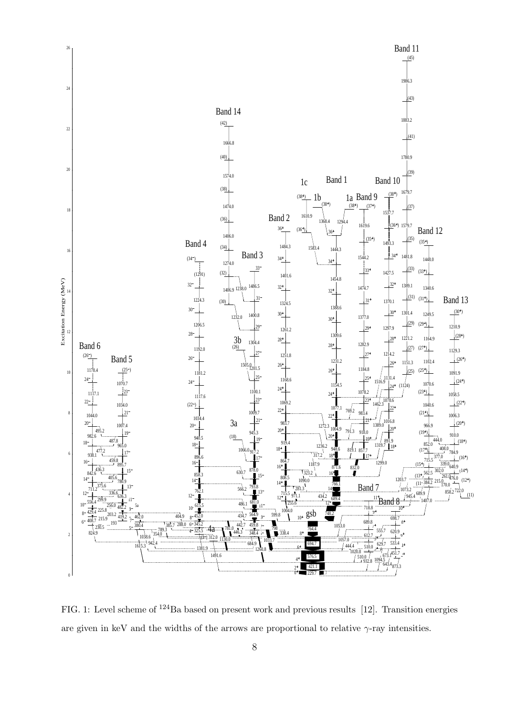

FIG. 1: Level scheme of <sup>124</sup>Ba based on present work and previous results [12]. Transition energies are given in keV and the widths of the arrows are proportional to relative  $\gamma$ -ray intensities.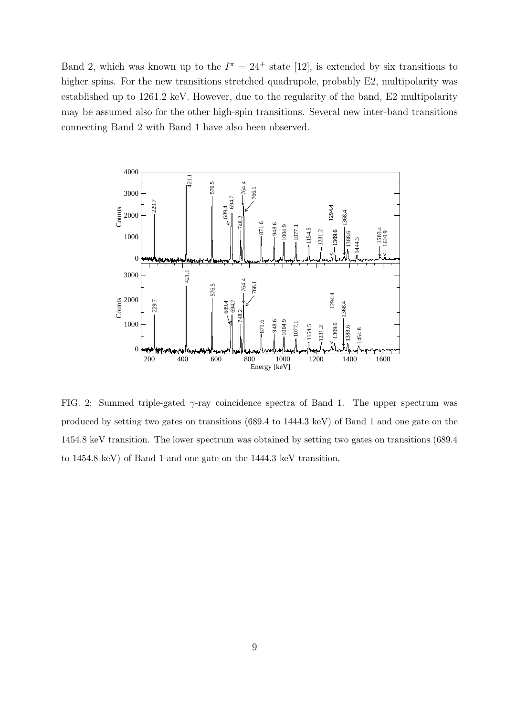Band 2, which was known up to the  $I^{\pi} = 24^{+}$  state [12], is extended by six transitions to higher spins. For the new transitions stretched quadrupole, probably E2, multipolarity was established up to 1261.2 keV. However, due to the regularity of the band, E2 multipolarity may be assumed also for the other high-spin transitions. Several new inter-band transitions connecting Band 2 with Band 1 have also been observed.



FIG. 2: Summed triple-gated  $\gamma$ -ray coincidence spectra of Band 1. The upper spectrum was produced by setting two gates on transitions (689.4 to 1444.3 keV) of Band 1 and one gate on the 1454.8 keV transition. The lower spectrum was obtained by setting two gates on transitions (689.4 to 1454.8 keV) of Band 1 and one gate on the 1444.3 keV transition.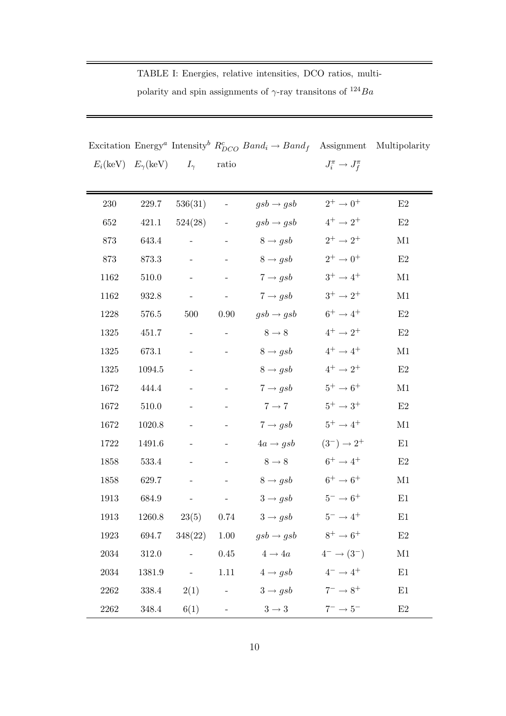|                                                         |           |                                             |                          | Excitation Energy <sup><i>a</i></sup> Intensity <sup><i>b</i></sup> $R_{DCO}^c$ Band <sub>i</sub> $\rightarrow$ Band <sub>f</sub> Assignment Multipolarity |                           |               |
|---------------------------------------------------------|-----------|---------------------------------------------|--------------------------|------------------------------------------------------------------------------------------------------------------------------------------------------------|---------------------------|---------------|
| $E_i(\text{keV})$ $E_{\gamma}(\text{keV})$ $I_{\gamma}$ |           |                                             | ratio                    |                                                                                                                                                            | $J_i^{\pi} \to J_f^{\pi}$ |               |
|                                                         |           |                                             |                          |                                                                                                                                                            |                           |               |
| 230                                                     | 229.7     | 536(31)                                     | $\blacksquare$           | $gsb\rightarrow gsb$                                                                                                                                       | $2^+ \to 0^+$             | E2            |
| 652                                                     | 421.1     | 524(28)                                     | $\overline{\phantom{a}}$ | $gsb \rightarrow gsb$                                                                                                                                      | $4^+ \rightarrow 2^+$     | $\mathrm{E}2$ |
| 873                                                     | 643.4     |                                             |                          | $8 \rightarrow gsb$                                                                                                                                        | $2^+ \rightarrow 2^+$     | M1            |
| 873                                                     | 873.3     | $\overline{\phantom{a}}$                    |                          | $8 \rightarrow gsb$                                                                                                                                        | $2^+ \rightarrow 0^+$     | E2            |
| 1162                                                    | 510.0     | $\overline{\phantom{a}}$                    |                          | $7 \rightarrow gsb$                                                                                                                                        | $3^+ \rightarrow 4^+$     | M1            |
| 1162                                                    | 932.8     | $\frac{1}{2}$                               |                          | $7 \rightarrow gsb$                                                                                                                                        | $3^+ \to 2^+$             | $\rm M1$      |
| 1228                                                    | 576.5     | 500                                         | 0.90                     | $gsb \rightarrow gsb$                                                                                                                                      | $6^+ \rightarrow 4^+$     | $\mathrm{E}2$ |
| 1325                                                    | 451.7     |                                             |                          | $8 \rightarrow 8$                                                                                                                                          | $4^+ \rightarrow 2^+$     | $\mathrm{E}2$ |
| 1325                                                    | 673.1     |                                             |                          | $8 \rightarrow gsb$                                                                                                                                        | $4^+ \rightarrow 4^+$     | $\rm M1$      |
| 1325                                                    | 1094.5    | $\overline{\phantom{a}}$                    |                          | $8 \rightarrow gsb$                                                                                                                                        | $4^+ \rightarrow 2^+$     | E2            |
| 1672                                                    | 444.4     |                                             |                          | $7 \rightarrow gsb$                                                                                                                                        | $5^+ \rightarrow 6^+$     | M1            |
| 1672                                                    | $510.0\,$ |                                             |                          | $7 \rightarrow 7$                                                                                                                                          | $5^+ \rightarrow 3^+$     | $\mathrm{E}2$ |
| 1672                                                    | 1020.8    |                                             |                          | $7 \rightarrow gsb$                                                                                                                                        | $5^+ \rightarrow 4^+$     | M1            |
| 1722                                                    | 1491.6    |                                             |                          | $4a \rightarrow gsb$                                                                                                                                       | $(3^-) \rightarrow 2^+$   | E1            |
| 1858                                                    | 533.4     |                                             |                          | $8 \rightarrow 8$                                                                                                                                          | $6^+ \rightarrow 4^+$     | $\rm E2$      |
| 1858                                                    | 629.7     | $\omega_{\rm{max}}$                         |                          | $8 \rightarrow gsb$                                                                                                                                        | $6^+ \rightarrow 6^+$     | M1            |
| 1913                                                    | 684.9     |                                             |                          | $3 \rightarrow gsb$                                                                                                                                        | $5^-\rightarrow 6^+$      | E1            |
| 1913                                                    |           | $1260.8$ $23(5)$ 0.74                       |                          | $3 \rightarrow gsb$                                                                                                                                        | $5^- \to 4^+$             | E1            |
| 1923                                                    | 694.7     | 348(22)                                     | 1.00                     | $gsb \rightarrow gsb$ $8^+ \rightarrow 6^+$                                                                                                                |                           | $\mathrm{E}2$ |
| 2034                                                    | 312.0     | $\omega_{\rm{max}}$ and $\omega_{\rm{max}}$ |                          | $0.45 \qquad \qquad 4 \rightarrow 4a$                                                                                                                      | $4^- \rightarrow (3^-)$   | M1            |
| 2034                                                    | 1381.9    | $\omega_{\rm{eff}}$                         |                          | 1.11 $4 \rightarrow gsb$                                                                                                                                   | $4^- \rightarrow 4^+$     | E1            |
| 2262                                                    | 338.4     | 2(1)                                        |                          | $3 \rightarrow gsb$<br>$\frac{1}{2}$ , and $\frac{1}{2}$ , and $\frac{1}{2}$                                                                               | $7^- \rightarrow 8^+$     | $\rm E1$      |

TABLE I: Energies, relative intensities, DCO ratios, multi-

polarity and spin assignments of  $\gamma\text{-ray transitions of }^{124}Ba$ 

2262 348.4 6(1) -  $3 \rightarrow 3$  7<sup>-</sup>  $\rightarrow 5^-$ 

 $E2$ 

2262 338.4 2(1) -  $3 \rightarrow gsb$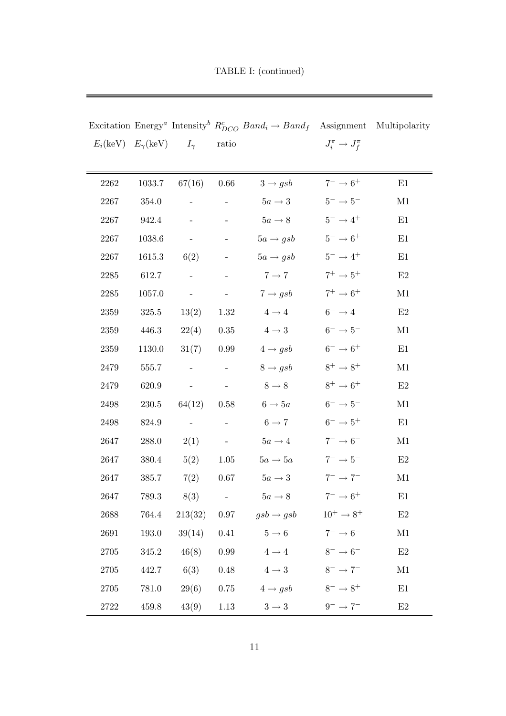|                                            |           |                          |                          | Excitation Energy <sup><i>a</i></sup> Intensity <sup><i>b</i></sup> $R_{DCO}^c$ Band <sub>i</sub> $\rightarrow$ Band <sub>f</sub> Assignment Multipolarity |                           |               |
|--------------------------------------------|-----------|--------------------------|--------------------------|------------------------------------------------------------------------------------------------------------------------------------------------------------|---------------------------|---------------|
| $E_i(\text{keV})$ $E_{\gamma}(\text{keV})$ |           | $I_{\gamma}$             | ratio                    |                                                                                                                                                            | $J_i^{\pi} \to J_f^{\pi}$ |               |
|                                            |           |                          |                          |                                                                                                                                                            |                           |               |
| 2262                                       | 1033.7    | 67(16)                   | $0.66\,$                 | $3 \rightarrow gsb$                                                                                                                                        | $7^- \rightarrow 6^+$     | E1            |
| 2267                                       | 354.0     |                          |                          | $5a \rightarrow 3$                                                                                                                                         | $5^-\to5^-$               | M1            |
| 2267                                       | 942.4     | $\overline{\phantom{a}}$ | $\overline{\phantom{a}}$ | $5a \rightarrow 8$                                                                                                                                         | $5^- \to 4^+$             | E1            |
| 2267                                       | 1038.6    | $\sim$                   | $\overline{\phantom{a}}$ | $5a \rightarrow gsb$                                                                                                                                       | $5^- \rightarrow 6^+$     | E1            |
| 2267                                       | 1615.3    | 6(2)                     |                          | $5a \rightarrow gsb$                                                                                                                                       | $5^-\to4^+$               | E1            |
| 2285                                       | 612.7     | $\overline{\phantom{a}}$ | $\overline{\phantom{a}}$ | $7 \rightarrow 7$                                                                                                                                          | $7^+ \rightarrow 5^+$     | $\mathrm{E}2$ |
| $2285\,$                                   | 1057.0    | $\frac{1}{2}$            | $\equiv$                 | $7 \rightarrow gsb$                                                                                                                                        | $7^+ \rightarrow 6^+$     | M1            |
| 2359                                       | 325.5     | 13(2)                    | 1.32                     | $4\to4$                                                                                                                                                    | $6^-\to4^-$               | $\mathrm{E}2$ |
| 2359                                       | 446.3     | 22(4)                    | $0.35\,$                 | $4 \rightarrow 3$                                                                                                                                          | $6^-\to5^-$               | M1            |
| 2359                                       | 1130.0    | 31(7)                    | 0.99                     | $4 \rightarrow gsb$                                                                                                                                        | $6^- \rightarrow 6^+$     | E1            |
| 2479                                       | 555.7     | $\overline{\phantom{a}}$ |                          | $8 \rightarrow gsb$                                                                                                                                        | $8^+ \rightarrow 8^+$     | M1            |
| 2479                                       | 620.9     | $\overline{\phantom{a}}$ | $\sim$                   | $8 \rightarrow 8$                                                                                                                                          | $8^+ \to 6^+$             | E2            |
| 2498                                       | $230.5\,$ | 64(12)                   | 0.58                     | $6 \rightarrow 5a$                                                                                                                                         | $6^-\to5^-$               | M1            |
| 2498                                       | 824.9     | $\sim$ $ \sim$           |                          | $6 \rightarrow 7$                                                                                                                                          | $6^- \rightarrow 5^+$     | E1            |
| 2647                                       | 288.0     | 2(1)                     | $\equiv$                 | $5a \rightarrow 4$                                                                                                                                         | $7^-\to6^-$               | M1            |
| 2647                                       | 380.4     | 5(2)                     | 1.05                     | $5a \rightarrow 5a$                                                                                                                                        | $7^- \rightarrow 5^-$     | E2            |
| 2647                                       | 385.7     | 7(2)                     | 0.67                     | $5a \rightarrow 3$                                                                                                                                         | $7^- \rightarrow 7^-$     | M1            |
| 2647                                       | 789.3     | 8(3)                     |                          | $5a \rightarrow 8$                                                                                                                                         | $7^- \rightarrow 6^+$     | E1            |
| 2688                                       | 764.4     | 213(32)                  | 0.97                     | $gsb \rightarrow gsb$                                                                                                                                      | $10^+ \rightarrow 8^+$    | E2            |
| 2691                                       | 193.0     | 39(14)                   | $0.41\,$                 | $5 \rightarrow 6$                                                                                                                                          | $7^- \rightarrow 6^-$     | $\rm M1$      |
| 2705                                       | 345.2     | 46(8)                    | $0.99\,$                 | $4 \rightarrow 4$                                                                                                                                          | $8^- \rightarrow 6^-$     | $\rm E2$      |
| 2705                                       | 442.7     | 6(3)                     | $0.48\,$                 | $4 \rightarrow 3$                                                                                                                                          | $8^- \rightarrow 7^-$     | M1            |
| $2705\,$                                   | $781.0\,$ | 29(6)                    | $0.75\,$                 | $4 \rightarrow gsb$                                                                                                                                        | $8^- \rightarrow 8^+$     | $\rm E1$      |

TABLE I: (continued)

 $\rm E2$ 

2722 459.8 43(9) 1.13  $3 \rightarrow 3$  9<sup>-</sup>  $\rightarrow 7^-$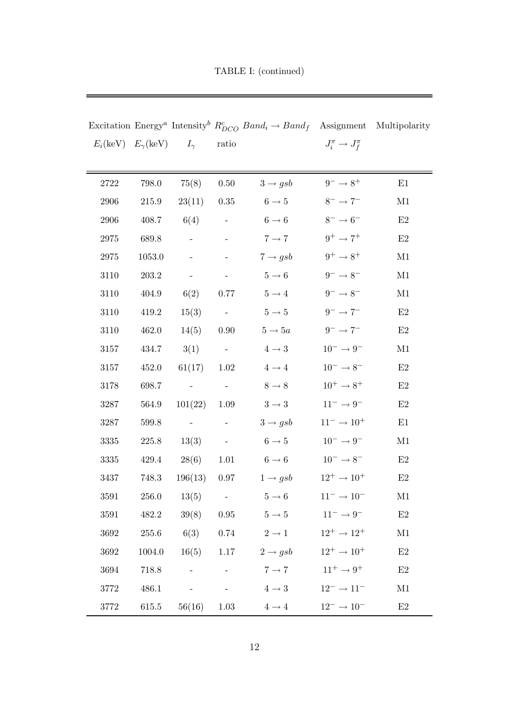|                                                         |           |                  |                  | Excitation Energy <sup><i>a</i></sup> Intensity <sup><i>b</i></sup> $R_{DCO}^c$ Band <sub>i</sub> $\rightarrow$ Band <sub>f</sub> Assignment Multipolarity |                             |          |
|---------------------------------------------------------|-----------|------------------|------------------|------------------------------------------------------------------------------------------------------------------------------------------------------------|-----------------------------|----------|
| $E_i(\text{keV})$ $E_{\gamma}(\text{keV})$ $I_{\gamma}$ |           |                  | ratio            |                                                                                                                                                            | $J_i^{\pi} \to J_f^{\pi}$   |          |
|                                                         |           |                  |                  |                                                                                                                                                            |                             |          |
| 2722                                                    | 798.0     | 75(8)            | $0.50\,$         | $3 \rightarrow gsb$                                                                                                                                        | $9^-\to 8^+$                | E1       |
| 2906                                                    | 215.9     | 23(11)           | 0.35             | $6 \rightarrow 5$                                                                                                                                          | $8^- \rightarrow 7^-$       | M1       |
| 2906                                                    | 408.7     | 6(4)             | $\sim 100$       | $6\rightarrow 6$                                                                                                                                           | $8^-\to6^-$                 | E2       |
| 2975                                                    | 689.8     |                  |                  | $7 \rightarrow 7$                                                                                                                                          | $9^+ \rightarrow 7^+$       | E2       |
| 2975                                                    | 1053.0    |                  |                  | $7 \rightarrow gsb$                                                                                                                                        | $9^+ \rightarrow 8^+$       | M1       |
| 3110                                                    | $203.2\,$ | $\omega_{\rm c}$ | $\sim$ $-$       | $5\rightarrow 6$                                                                                                                                           | $9^- \rightarrow 8^-$       | M1       |
| 3110                                                    | 404.9     | 6(2)             | 0.77             | $5\rightarrow 4$                                                                                                                                           | $9^-\to8^-$                 | M1       |
| 3110                                                    | $419.2\,$ | 15(3)            | $\sim 10^{-11}$  | $5\rightarrow5$                                                                                                                                            | $9^-\to7^-$                 | $\rm E2$ |
| 3110                                                    | 462.0     | 14(5)            | 0.90             | $5 \rightarrow 5a$                                                                                                                                         | $9^-\to7^-$                 | E2       |
| 3157                                                    | 434.7     | 3(1)             | $\sim 10^{-11}$  | $4 \rightarrow 3$                                                                                                                                          | $10^-\to 9^-$               | M1       |
| 3157                                                    | 452.0     | 61(17)           | 1.02             | $4\to4$                                                                                                                                                    | $10^-\to 8^-$               | E2       |
| 3178                                                    | 698.7     |                  |                  | $8\rightarrow 8$                                                                                                                                           | $10^+ \to 8^+$              | $\rm E2$ |
| 3287                                                    | 564.9     | 101(22)          | 1.09             | $3\rightarrow 3$                                                                                                                                           | $11^-\rightarrow 9^-$       | $\rm E2$ |
| 3287                                                    | 599.8     | $\sim$ $-$       |                  | $3 \rightarrow gsb$                                                                                                                                        | $11^- \rightarrow 10^+$     | E1       |
| 3335                                                    | 225.8     | 13(3)            | $\sim$           | $6 \rightarrow 5$                                                                                                                                          | $10^-\to 9^-$               | M1       |
| 3335                                                    | 429.4     | 28(6)            | 1.01             | $6 \rightarrow 6$                                                                                                                                          | $10^- \rightarrow 8^-$      | E2       |
| 3437                                                    | 748.3     | 196(13)          | 0.97             | $1 \rightarrow gsb$                                                                                                                                        | $12^+ \rightarrow 10^+$     | E2       |
| 3591                                                    | 256.0     | 13(5)            | $\omega_{\rm c}$ | $5 \rightarrow 6$                                                                                                                                          | $11^{-} \rightarrow 10^{-}$ | M1       |
| 3591                                                    | 482.2     | 39(8)            | 0.95             | $5 \rightarrow 5$                                                                                                                                          | $11^- \rightarrow 9^-$      | $\rm E2$ |
| 3692                                                    | 255.6     | 6(3)             | 0.74             | $2 \rightarrow 1$                                                                                                                                          | $12^+ \rightarrow 12^+$     | M1       |
| 3692                                                    | 1004.0    | $16(5)$ 1.17     |                  | $2 \rightarrow gsb$                                                                                                                                        | $12^+ \rightarrow 10^+$     | $\rm E2$ |
| 3694                                                    | 718.8     |                  |                  | $7 \rightarrow 7$                                                                                                                                          | $11^+ \rightarrow 9^+$      | E2       |
| 3772                                                    | 486.1     |                  |                  | $4 \rightarrow 3$                                                                                                                                          | $12^- \rightarrow 11^-$     | M1       |
| 3772                                                    | 615.5     | $56(16)$ 1.03    |                  | $4 \rightarrow 4$                                                                                                                                          | $12^- \to 10^-$             | $\rm E2$ |

TABLE I: (continued)

 $\equiv$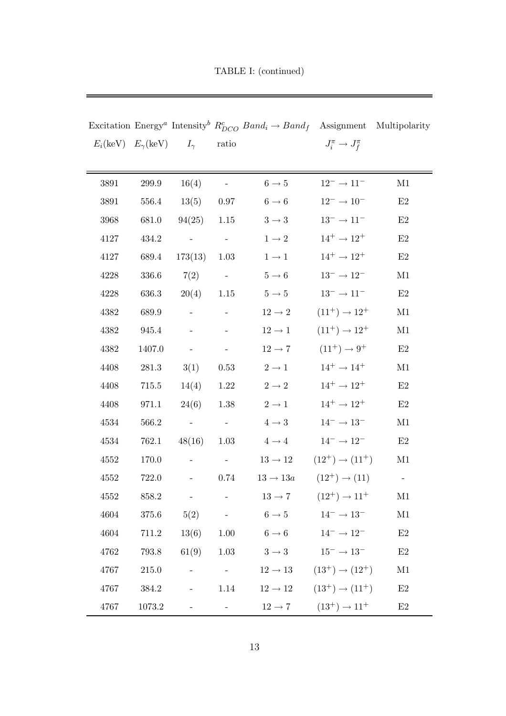|                                                         |           |                          |                                           | Excitation Energy <sup><i>a</i></sup> Intensity <sup><i>b</i></sup> $R_{DCO}^c$ Band <sub>i</sub> $\rightarrow$ Band <sub>f</sub> Assignment Multipolarity |                                                     |               |
|---------------------------------------------------------|-----------|--------------------------|-------------------------------------------|------------------------------------------------------------------------------------------------------------------------------------------------------------|-----------------------------------------------------|---------------|
| $E_i(\text{keV})$ $E_{\gamma}(\text{keV})$ $I_{\gamma}$ |           |                          | ratio                                     |                                                                                                                                                            | $J_i^{\pi} \to J_f^{\pi}$                           |               |
|                                                         |           |                          |                                           |                                                                                                                                                            |                                                     |               |
| 3891                                                    | $299.9\,$ | 16(4)                    |                                           | $6 \rightarrow 5$                                                                                                                                          | $12^-\rightarrow11^-$                               | M1            |
| 3891                                                    | 556.4     | 13(5)                    | 0.97                                      | $6 \rightarrow 6$                                                                                                                                          | $12^- \rightarrow 10^-$                             | E2            |
| 3968                                                    | 681.0     | 94(25)                   | 1.15                                      | $3\rightarrow 3$                                                                                                                                           | $13^-\to11^-$                                       | E2            |
| 4127                                                    | 434.2     | $\equiv$                 | $\sim$ $ \sim$                            | $1\to 2$                                                                                                                                                   | $14^+ \rightarrow 12^+$                             | E2            |
| 4127                                                    | 689.4     | 173(13)                  | 1.03                                      | $1\rightarrow 1$                                                                                                                                           | $14^+ \rightarrow 12^+$                             | E2            |
| 4228                                                    | 336.6     | 7(2)                     | $\sim 10^{-11}$                           | $5\rightarrow 6$                                                                                                                                           | $13^- \rightarrow 12^-$                             | M1            |
| 4228                                                    | 636.3     | $20(4)$ 1.15             |                                           | $5\rightarrow5$                                                                                                                                            | $13^-\rightarrow11^-$                               | E2            |
| 4382                                                    | 689.9     |                          |                                           | $12\to 2$                                                                                                                                                  | $(11^+) \rightarrow 12^+$                           | M1            |
| 4382                                                    | 945.4     |                          |                                           | $12\to1$                                                                                                                                                   | $(11^+) \rightarrow 12^+$                           | M1            |
| 4382                                                    | 1407.0    | $\sim$                   | $\sim$                                    | $12\rightarrow7$                                                                                                                                           | $(11^+) \to 9^+$                                    | E2            |
| 4408                                                    | 281.3     | 3(1)                     | 0.53                                      | $2\to1$                                                                                                                                                    | $14^+ \rightarrow 14^+$                             | M1            |
| 4408                                                    | $715.5\,$ | 14(4)                    | $1.22\,$                                  | $2\to 2$                                                                                                                                                   | $14^+ \rightarrow 12^+$                             | E2            |
| 4408                                                    | 971.1     | 24(6)                    | $1.38\,$                                  | $2\to1$                                                                                                                                                    | $14^+ \rightarrow 12^+$                             | $\mathrm{E}2$ |
| 4534                                                    | 566.2     | $\sim$ $-$               | $\sim$ $ \sim$                            | $4 \rightarrow 3$                                                                                                                                          | $14^- \rightarrow 13^-$                             | M1            |
| 4534                                                    | 762.1     | 48(16)                   | 1.03                                      | $4 \rightarrow 4$                                                                                                                                          | $14^-\rightarrow12^-$                               | E2            |
| 4552                                                    | 170.0     | $\overline{\phantom{a}}$ | $\alpha_{\rm{max}}=1$                     | $13 \rightarrow 12$                                                                                                                                        | $(12^+) \rightarrow (11^+)$                         | M1            |
| 4552                                                    | 722.0     | $\Box$                   | 0.74                                      | $13 \rightarrow 13a$                                                                                                                                       | $(12^{+}) \rightarrow (11)$                         |               |
| 4552                                                    | 858.2     |                          |                                           | $13 \rightarrow 7$                                                                                                                                         | $(12^{+}) \rightarrow 11^{+}$                       | M1            |
| 4604                                                    | 375.6     | 5(2)                     | $\mathcal{L}^{\text{max}}_{\text{max}}$   | $6 \rightarrow 5$                                                                                                                                          | $14^- \rightarrow 13^-$                             | $\rm M1$      |
| 4604                                                    | 711.2     | 13(6) 1.00               |                                           | $6 \rightarrow 6$                                                                                                                                          | $14^{-} \rightarrow 12^{-}$                         | E2            |
| 4762                                                    | 793.8     | $61(9)$ 1.03             |                                           | $3 \to 3$ $15^- \to 13^-$                                                                                                                                  |                                                     | E2            |
| 4767                                                    | 215.0     | $\overline{\phantom{a}}$ | $\alpha$ , $\alpha$ , $\alpha$ , $\alpha$ |                                                                                                                                                            | $12 \rightarrow 13$ $(13^+) \rightarrow (12^+)$     | M1            |
| 4767                                                    | 384.2     |                          | 1.14                                      |                                                                                                                                                            | $12 \rightarrow 12$ $(13^{+}) \rightarrow (11^{+})$ | E2            |
| 4767                                                    | 1073.2    |                          |                                           | $12 \rightarrow 7$                                                                                                                                         | $(13^+) \rightarrow 11^+$                           | E2            |

TABLE I: (continued)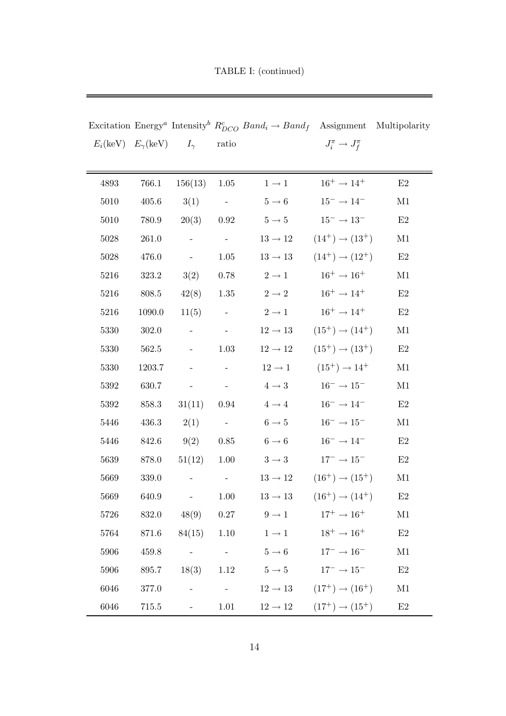TABLE I: (continued)

 $\equiv$ 

|                                                         |        |                                                                                                      |                                   | Excitation Energy <sup><i>a</i></sup> Intensity <sup><i>b</i></sup> $R_{DCO}^c$ Band <sub>i</sub> $\rightarrow$ Band <sub>f</sub> Assignment Multipolarity |                                                 |               |
|---------------------------------------------------------|--------|------------------------------------------------------------------------------------------------------|-----------------------------------|------------------------------------------------------------------------------------------------------------------------------------------------------------|-------------------------------------------------|---------------|
| $E_i(\text{keV})$ $E_{\gamma}(\text{keV})$ $I_{\gamma}$ |        |                                                                                                      | $\operatorname{ratio}$            |                                                                                                                                                            | $J_i^{\pi} \to J_f^{\pi}$                       |               |
|                                                         |        |                                                                                                      |                                   |                                                                                                                                                            |                                                 |               |
| 4893                                                    | 766.1  | 156(13)                                                                                              | 1.05                              | $1 \rightarrow 1$                                                                                                                                          | $16^+ \rightarrow 14^+$                         | $\rm E2$      |
| 5010                                                    | 405.6  | 3(1)                                                                                                 | $\sim$ $-$                        | $5 \rightarrow 6$                                                                                                                                          | $15^- \rightarrow 14^-$                         | M1            |
| 5010                                                    | 780.9  | 20(3)                                                                                                | 0.92                              | $5 \rightarrow 5$                                                                                                                                          | $15^- \rightarrow 13^-$                         | E2            |
| 5028                                                    | 261.0  | $\omega_{\rm{eff}}$                                                                                  | $\sim$ $ \sim$                    | $13 \rightarrow 12$                                                                                                                                        | $(14^+) \rightarrow (13^+)$                     | M1            |
| 5028                                                    | 476.0  | $\sim$                                                                                               | 1.05                              | $13 \rightarrow 13$                                                                                                                                        | $(14^+) \rightarrow (12^+)$                     | E2            |
| 5216                                                    | 323.2  | 3(2)                                                                                                 | 0.78                              | $2\to1$                                                                                                                                                    | $16^+ \rightarrow 16^+$                         | M1            |
| 5216                                                    | 808.5  | 42(8)                                                                                                | 1.35                              | $2\to 2$                                                                                                                                                   | $16^+ \rightarrow 14^+$                         | $\mathrm{E}2$ |
| 5216                                                    | 1090.0 | 11(5)                                                                                                | $\sim$ $-$                        | $2\to1$                                                                                                                                                    | $16^+ \rightarrow 14^+$                         | $\mathrm{E}2$ |
| 5330                                                    | 302.0  | $\sim$                                                                                               | $\alpha \rightarrow \beta \gamma$ | $12\rightarrow13$                                                                                                                                          | $(15^+) \rightarrow (14^+)$                     | M1            |
| 5330                                                    | 562.5  |                                                                                                      | 1.03                              | $12 \rightarrow 12$                                                                                                                                        | $(15^+) \rightarrow (13^+)$                     | E2            |
| 5330                                                    | 1203.7 | $\overline{\phantom{a}}$                                                                             | $\equiv$                          | $12 \rightarrow 1$                                                                                                                                         | $(15^+) \rightarrow 14^+$                       | M1            |
| 5392                                                    | 630.7  | $\sim$                                                                                               | $\sim$                            | $4 \rightarrow 3$                                                                                                                                          | $16^- \rightarrow 15^-$                         | M1            |
| 5392                                                    | 858.3  | 31(11)                                                                                               | 0.94                              | $4 \rightarrow 4$                                                                                                                                          | $16^- \rightarrow 14^-$                         | $\mathrm{E}2$ |
| 5446                                                    | 436.3  | 2(1)                                                                                                 | $\sim 10^{-10}$                   | $6 \rightarrow 5$                                                                                                                                          | $16^- \rightarrow 15^-$                         | M1            |
| 5446                                                    | 842.6  | 9(2)                                                                                                 | 0.85                              | $6 \rightarrow 6$                                                                                                                                          | $16^- \rightarrow 14^-$                         | $\mathrm{E}2$ |
| 5639                                                    | 878.0  | 51(12)                                                                                               | 1.00                              | $3 \rightarrow 3$                                                                                                                                          | $17^{-} \rightarrow 15^{-}$                     | E2            |
| 5669                                                    | 339.0  | $\qquad \qquad -$                                                                                    | $\sim$                            | $13\rightarrow12$                                                                                                                                          | $(16^+) \rightarrow (15^+)$                     | M1            |
| 5669                                                    | 640.9  | $\frac{1}{2}$                                                                                        | 1.00                              | $13 \rightarrow 13$                                                                                                                                        | $(16^+) \rightarrow (14^+)$                     | $\rm E2$      |
| 5726                                                    |        | 832.0 48(9) 0.27                                                                                     |                                   | $9 \rightarrow 1$                                                                                                                                          | $17^+ \to 16^+$                                 | M1            |
| 5764                                                    | 871.6  | 84(15)                                                                                               | 1.10                              | $1 \rightarrow 1$                                                                                                                                          | $18^+ \rightarrow 16^+$                         | E2            |
| 5906                                                    | 459.8  | $\mathcal{L}^{\mathcal{L}}$ and $\mathcal{L}^{\mathcal{L}}$ . The set of $\mathcal{L}^{\mathcal{L}}$ | <b>Contract Contract</b>          | $5 \rightarrow 6$                                                                                                                                          | $17^- \to 16^-$                                 | M1            |
| 5906                                                    | 895.7  | 18(3)                                                                                                |                                   | 1.12 $5 \to 5$ $17^{-} \to 15^{-}$                                                                                                                         |                                                 | E2            |
| 6046                                                    | 377.0  | $\pm$ .                                                                                              | $\sim 10^{-10}$                   |                                                                                                                                                            | $12 \rightarrow 13$ $(17^+) \rightarrow (16^+)$ | $\rm M1$      |
| 6046                                                    | 715.5  | $\sim$ $-$                                                                                           | 1.01                              | $12 \rightarrow 12$                                                                                                                                        | $(17^+) \rightarrow (15^+)$                     | E2            |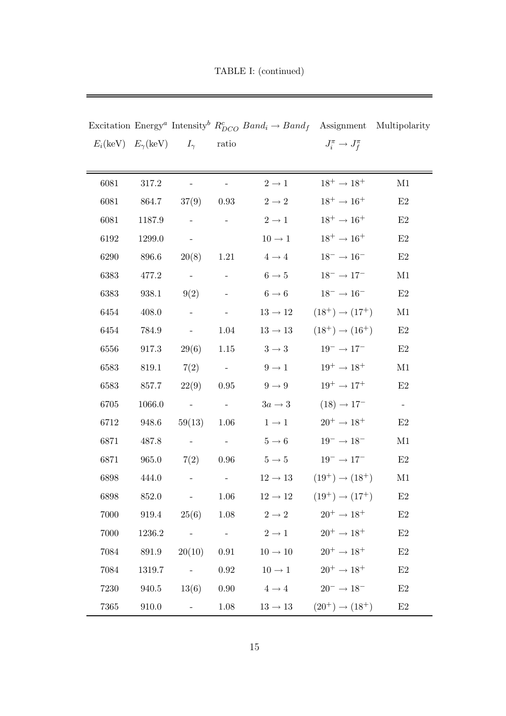Excitation Energy<sup>*a*</sup> Intensity<sup>b</sup>  $R_{DCO}^c$  Band<sub>i</sub>  $\rightarrow$  Band<sub>f</sub> Assignment Multipolarity  $E_i(\text{keV})$   $E_{\gamma}(\text{keV})$   $I_{\gamma}$  ratio  $\tilde{j}_i^{\pi} \to J_f^{\pi}$ 6081 317.2 - -  $2 \rightarrow 1$   $18^+ \rightarrow 18^+$  M1 6081 864.7 37(9) 0.93  $2 \rightarrow 2$   $18^+ \rightarrow 16^+$  E2 6081 1187.9 - -  $2 \rightarrow 1$   $18^+ \rightarrow 16^+$  E2 6192 1299.0 -  $10 \rightarrow 1$   $18^+ \rightarrow 16^+$  E2 6290 896.6 20(8) 1.21  $4 \rightarrow 4$  18<sup>-</sup>  $\rightarrow 16$ <sup>-</sup> E2 6383 477.2 - - 6 → 5  $18^- \rightarrow 17^-$  M1 6383 938.1 9(2) - 6 → 6 18<sup>-</sup> → 16<sup>-</sup> E2 6454 408.0 - -  $13 \rightarrow 12$   $(18^+) \rightarrow (17^+)$  M1 6454 784.9 - 1.04  $13 \rightarrow 13$   $(18^+) \rightarrow (16^+)$  E2 6556 917.3 29(6) 1.15  $3 \rightarrow 3$  19<sup>-</sup> → 17<sup>-</sup> E2 6583 819.1 7(2) -  $9 \rightarrow 1$   $19^+ \rightarrow 18^+$  M1 6583 857.7 22(9) 0.95  $9 \rightarrow 9$   $19^+ \rightarrow 17^+$  E2 6705 1066.0 - -  $3a \rightarrow 3$   $(18) \rightarrow 17^-$  -6712 948.6 59(13) 1.06  $1 \rightarrow 1$   $20^+ \rightarrow 18^+$  E2 6871 487.8 - -  $5 \rightarrow 6$  19<sup>-</sup>  $\rightarrow 18^{-}$  M1 6871 965.0 7(2) 0.96  $5 \rightarrow 5$  19<sup>-</sup> → 17<sup>-</sup> E2 6898 444.0 - -  $12 \rightarrow 13$   $(19^+) \rightarrow (18^+)$  M1 6898 852.0 - 1.06  $12 \rightarrow 12$   $(19^+) \rightarrow (17^+)$  E2 7000 919.4  $25(6)$  1.08  $2 \rightarrow 2$   $20^+ \rightarrow 18^+$  E2 7000 1236.2 - -  $2 \rightarrow 1$   $20^+ \rightarrow 18^+$  E2 7084 891.9  $20(10)$  0.91  $10 \rightarrow 10$   $20^+ \rightarrow 18^+$  E2 7084 1319.7 - 0.92  $10 \rightarrow 1$   $20^+ \rightarrow 18^+$  E2 7230 940.5 13(6) 0.90  $4 \rightarrow 4$   $20^- \rightarrow 18^-$  E2

TABLE I: (continued)

7365 910.0 - 1.08  $13 \rightarrow 13$   $(20^+) \rightarrow (18^+)$  E2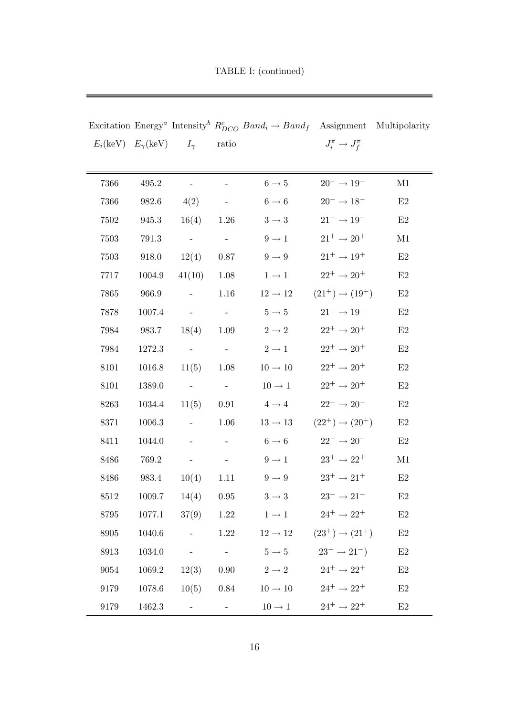|      |        |                                                               |                                                           | Excitation Energy <sup><i>a</i></sup> Intensity <sup><i>b</i></sup> $R_{DCO}^c$ Band <sub>i</sub> $\rightarrow$ Band <sub>f</sub> Assignment Multipolarity |                                 |               |
|------|--------|---------------------------------------------------------------|-----------------------------------------------------------|------------------------------------------------------------------------------------------------------------------------------------------------------------|---------------------------------|---------------|
|      |        | $E_i(\text{keV})$ $E_{\gamma}(\text{keV})$ $I_{\gamma}$ ratio |                                                           |                                                                                                                                                            | $J_i^{\pi} \to J_f^{\pi}$       |               |
|      |        |                                                               |                                                           |                                                                                                                                                            |                                 |               |
| 7366 | 495.2  |                                                               |                                                           | $6\rightarrow5$                                                                                                                                            | $20^- \rightarrow 19^-$         | M1            |
| 7366 | 982.6  | 4(2)                                                          | $\alpha_{\rm{max}}=0.01$                                  | $6 \rightarrow 6$                                                                                                                                          | $20^-\rightarrow18^-$           | E2            |
| 7502 | 945.3  | $16(4)$ 1.26                                                  |                                                           | $3 \rightarrow 3$                                                                                                                                          | $21^-\to19^-$                   | E2            |
| 7503 | 791.3  | $\sim$ $-$                                                    | $\alpha \rightarrow \alpha$                               | $9 \rightarrow 1$                                                                                                                                          | $21^+ \rightarrow 20^+$         | M1            |
| 7503 | 918.0  | 12(4)                                                         | 0.87                                                      | $9 \rightarrow 9$                                                                                                                                          | $21^+ \rightarrow 19^+$         | E2            |
| 7717 | 1004.9 | 41(10)                                                        | 1.08                                                      | $1 \rightarrow 1$                                                                                                                                          | $22^+ \rightarrow 20^+$         | E2            |
| 7865 | 966.9  | $\pm$ .                                                       | 1.16                                                      | $12\rightarrow12$                                                                                                                                          | $(21^+) \rightarrow (19^+)$     | $\mathrm{E}2$ |
| 7878 | 1007.4 | $\sim 10^{-10}$                                               | $\sim 10^{-10}$                                           | $5 \rightarrow 5$                                                                                                                                          | $21^-\to19^-$                   | $\mathrm{E}2$ |
| 7984 | 983.7  | 18(4)                                                         | 1.09                                                      | $2 \rightarrow 2$                                                                                                                                          | $22^+ \rightarrow 20^+$         | E2            |
| 7984 | 1272.3 | $\mathcal{L}^{\text{max}}$ and $\mathcal{L}^{\text{max}}$     | $\alpha_{\rm{max}}=0.5$                                   | $2 \rightarrow 1$                                                                                                                                          | $22^+ \rightarrow 20^+$         | $\mathrm{E}2$ |
| 8101 | 1016.8 | 11(5)                                                         | 1.08                                                      | $10\rightarrow10$                                                                                                                                          | $22^+ \rightarrow 20^+$         | E2            |
| 8101 | 1389.0 | $\sim$ $ \sim$                                                | $\sim$ $ \sim$                                            | $10 \rightarrow 1$                                                                                                                                         | $22^+ \rightarrow 20^+$         | $\mathrm{E}2$ |
| 8263 | 1034.4 | 11(5) 0.91                                                    |                                                           | $4 \rightarrow 4$                                                                                                                                          | $22^-\rightarrow20^-$           | $\mathrm{E}2$ |
| 8371 | 1006.3 | $\omega_{\rm{eff}}$                                           | 1.06                                                      | $13 \rightarrow 13$                                                                                                                                        | $(22^{+}) \rightarrow (20^{+})$ | E2            |
| 8411 | 1044.0 | $\omega_{\rm{max}}=0.01$ and $\omega_{\rm{max}}=0.01$         |                                                           | $6 \rightarrow 6$                                                                                                                                          | $22^-\rightarrow20^-$           | $\mathrm{E}2$ |
| 8486 | 769.2  | $\alpha = 0.01$                                               | $\mathcal{L}_{\text{max}}$ and $\mathcal{L}_{\text{max}}$ | $9 \rightarrow 1$                                                                                                                                          | $23^+\rightarrow 22^+$          | M1            |
| 8486 | 983.4  | $10(4)$ 1.11                                                  |                                                           | $9 \rightarrow 9$                                                                                                                                          | $23^+\rightarrow21^+$           | E2            |
| 8512 |        | $1009.7$ $14(4)$ $0.95$                                       |                                                           | $3 \rightarrow 3$                                                                                                                                          | $23^{-} \rightarrow 21^{-}$     | E2            |
| 8795 |        |                                                               |                                                           | 1077.1 $37(9)$ 1.22 $1 \rightarrow 1$ $24^+ \rightarrow 22^+$                                                                                              |                                 | E2            |
| 8905 | 1040.6 |                                                               |                                                           | - 1.22 $12 \rightarrow 12$ $(23^{+}) \rightarrow (21^{+})$                                                                                                 |                                 | E2            |
| 8913 |        |                                                               |                                                           | 1034.0 - $5 \rightarrow 5$ $23^{-} \rightarrow 21^{-}$                                                                                                     |                                 | $\mathrm{E}2$ |
| 9054 |        |                                                               |                                                           | 1069.2 12(3) 0.90 $2 \rightarrow 2$                                                                                                                        | $24^+ \rightarrow 22^+$         | $\mathrm{E}2$ |
| 9179 |        |                                                               |                                                           | 1078.6 10(5) 0.84 10 $\rightarrow$ 10                                                                                                                      | $24^+ \rightarrow 22^+$         | $\rm E2$      |
| 9179 |        | $1462.3$ - -                                                  |                                                           | $10 \rightarrow 1$                                                                                                                                         | $24^+ \rightarrow 22^+$         | $\mathrm{E}2$ |

TABLE I: (continued)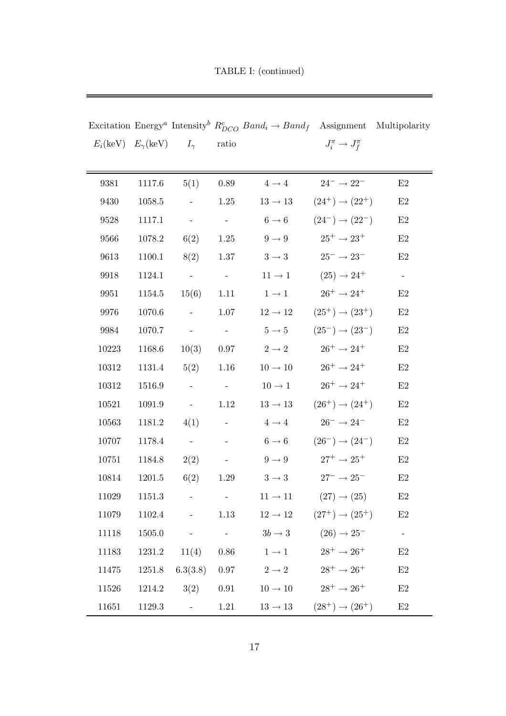|                                                         |        |                             |                             | Excitation Energy <sup><i>a</i></sup> Intensity <sup><i>b</i></sup> $R_{DCO}^c$ Band <sub>i</sub> $\rightarrow$ Band <sub>f</sub> Assignment Multipolarity |                                                 |       |
|---------------------------------------------------------|--------|-----------------------------|-----------------------------|------------------------------------------------------------------------------------------------------------------------------------------------------------|-------------------------------------------------|-------|
| $E_i(\text{keV})$ $E_{\gamma}(\text{keV})$ $I_{\gamma}$ |        |                             | ratio                       |                                                                                                                                                            | $J_i^{\pi} \to J_f^{\pi}$                       |       |
|                                                         |        |                             |                             |                                                                                                                                                            |                                                 |       |
| 9381                                                    | 1117.6 | 5(1)                        | 0.89                        | $4 \rightarrow 4$                                                                                                                                          | $24^-\to22^-$                                   | E2    |
| 9430                                                    | 1058.5 | $\equiv$                    | 1.25                        | $13 \rightarrow 13$                                                                                                                                        | $(24^+) \rightarrow (22^+)$                     | E2    |
| 9528                                                    | 1117.1 | $\mathcal{L} = \mathcal{L}$ | $\sim 10^{-10}$             | $6 \rightarrow 6$                                                                                                                                          | $(24^{-}) \rightarrow (22^{-})$                 | E2    |
| 9566                                                    | 1078.2 | 6(2)                        | 1.25                        | $9 \rightarrow 9$                                                                                                                                          | $25^+ \rightarrow 23^+$                         | E2    |
| 9613                                                    | 1100.1 | 8(2)                        | 1.37                        | $3 \rightarrow 3$                                                                                                                                          | $25^- \rightarrow 23^-$                         | E2    |
| 9918                                                    | 1124.1 | $\sim 10^{-1}$              | $\sim$ $ \sim$              | $11\rightarrow1$                                                                                                                                           | $(25) \rightarrow 24^+$                         | $\pm$ |
| 9951                                                    | 1154.5 | 15(6)                       | 1.11                        | $1 \rightarrow 1$                                                                                                                                          | $26^+ \rightarrow 24^+$                         | E2    |
| 9976                                                    | 1070.6 | $\sim$ $-$                  | 1.07                        | $12 \rightarrow 12$                                                                                                                                        | $(25^+) \rightarrow (23^+)$                     | E2    |
| 9984                                                    | 1070.7 | $\sim$ $ \sim$              | $\alpha \rightarrow \alpha$ | $5 \rightarrow 5$                                                                                                                                          | $(25^{-}) \rightarrow (23^{-})$                 | E2    |
| 10223                                                   | 1168.6 | 10(3)                       | 0.97                        | $2 \rightarrow 2$                                                                                                                                          | $26^+ \rightarrow 24^+$                         | E2    |
| 10312                                                   | 1131.4 | 5(2)                        | $1.16\,$                    | $10\rightarrow10$                                                                                                                                          | $26^+ \rightarrow 24^+$                         | E2    |
| 10312                                                   | 1516.9 | $\frac{1}{2}$               | $\sim$ $ \sim$              | $10 \rightarrow 1$                                                                                                                                         | $26^+ \rightarrow 24^+$                         | E2    |
| 10521                                                   | 1091.9 | $\mathcal{L}_{\text{max}}$  | 1.12                        | $13 \rightarrow 13$                                                                                                                                        | $(26^+) \rightarrow (24^+)$                     | E2    |
| 10563                                                   | 1181.2 | 4(1)                        | $\alpha_{\rm{max}}=0.1$     | $4 \rightarrow 4$                                                                                                                                          | $26^- \rightarrow 24^-$                         | E2    |
| 10707                                                   | 1178.4 | $\sim$ $-$                  |                             |                                                                                                                                                            | $6 \to 6$ $(26^-) \to (24^-)$                   | E2    |
| 10751                                                   | 1184.8 | 2(2)                        | $\alpha \rightarrow \alpha$ | $9 \rightarrow 9$                                                                                                                                          | $27^+ \rightarrow 25^+$                         | E2    |
| 10814                                                   | 1201.5 | 6(2)                        | 1.29                        | $3 \rightarrow 3$                                                                                                                                          | $27^- \rightarrow 25^-$                         | E2    |
| 11029                                                   | 1151.3 | $\pm$                       |                             | $11 \rightarrow 11$                                                                                                                                        | $(27) \rightarrow (25)$                         | E2    |
| 11079                                                   | 1102.4 | $\overline{\phantom{a}}$    | 1.13                        |                                                                                                                                                            | $12 \rightarrow 12$ $(27^+) \rightarrow (25^+)$ | E2    |
| 11118                                                   | 1505.0 | $\sim$ $-$                  | $\sim 10^{-10}$             | $3b \rightarrow 3$                                                                                                                                         | $(26) \rightarrow 25^-$                         |       |
| 11183                                                   |        | $1231.2$ $11(4)$ 0.86       |                             | $1 \rightarrow 1$                                                                                                                                          | $28^+ \rightarrow 26^+$                         | E2    |
| 11475                                                   |        | $1251.8\quad 6.3(3.8)$      | 0.97                        | $2 \rightarrow 2$                                                                                                                                          | $28^+ \rightarrow 26^+$                         | E2    |
| 11526                                                   | 1214.2 |                             |                             | $3(2)$ 0.91 $10 \rightarrow 10$                                                                                                                            | $28^+ \rightarrow 26^+$                         | E2    |
| 11651                                                   | 1129.3 | $\sim$ $-$                  | 1.21                        | $13 \rightarrow 13$                                                                                                                                        | $(28^{+}) \rightarrow (26^{+})$                 | E2    |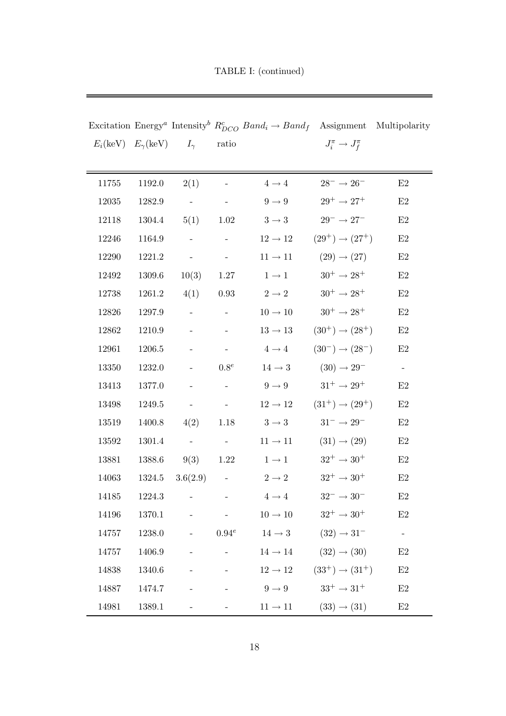|       |        |                                                         |                                                                                                                                                                                                                                                                                                                                                                                                                                                           | Excitation Energy <sup><i>a</i></sup> Intensity <sup><i>b</i></sup> $R_{DCO}^c$ Band <sub>i</sub> $\rightarrow$ Band <sub>f</sub> Assignment Multipolarity |                                                     |               |
|-------|--------|---------------------------------------------------------|-----------------------------------------------------------------------------------------------------------------------------------------------------------------------------------------------------------------------------------------------------------------------------------------------------------------------------------------------------------------------------------------------------------------------------------------------------------|------------------------------------------------------------------------------------------------------------------------------------------------------------|-----------------------------------------------------|---------------|
|       |        | $E_i(\text{keV})$ $E_{\gamma}(\text{keV})$ $I_{\gamma}$ | ratio                                                                                                                                                                                                                                                                                                                                                                                                                                                     |                                                                                                                                                            | $J_i^{\pi} \to J_f^{\pi}$                           |               |
|       |        |                                                         |                                                                                                                                                                                                                                                                                                                                                                                                                                                           |                                                                                                                                                            |                                                     |               |
| 11755 | 1192.0 | 2(1)                                                    |                                                                                                                                                                                                                                                                                                                                                                                                                                                           | $4 \rightarrow 4$                                                                                                                                          | $28^-\rightarrow 26^-$                              | E2            |
| 12035 | 1282.9 | $\alpha$ - $\alpha$ - $\alpha$                          | $\sim 100$ m $^{-1}$                                                                                                                                                                                                                                                                                                                                                                                                                                      | $9 \rightarrow 9$                                                                                                                                          | $29^+ \rightarrow 27^+$                             | E2            |
| 12118 |        | $1304.4$ $5(1)$ $1.02$                                  |                                                                                                                                                                                                                                                                                                                                                                                                                                                           | $3 \rightarrow 3$                                                                                                                                          | $29^-\to27^-$                                       | E2            |
| 12246 | 1164.9 | $\sim$                                                  | $\sim$                                                                                                                                                                                                                                                                                                                                                                                                                                                    | $12 \rightarrow 12$                                                                                                                                        | $(29^{+}) \rightarrow (27^{+})$                     | E2            |
| 12290 | 1221.2 | $\sim$                                                  | $\sim$                                                                                                                                                                                                                                                                                                                                                                                                                                                    | $11 \rightarrow 11$                                                                                                                                        | $(29) \rightarrow (27)$                             | $\mathrm{E}2$ |
| 12492 | 1309.6 | 10(3)                                                   | 1.27                                                                                                                                                                                                                                                                                                                                                                                                                                                      | $1 \rightarrow 1$                                                                                                                                          | $30^+ \rightarrow 28^+$                             | E2            |
| 12738 | 1261.2 | 4(1)                                                    | $\rm 0.93$                                                                                                                                                                                                                                                                                                                                                                                                                                                | $2 \rightarrow 2$                                                                                                                                          | $30^+ \rightarrow 28^+$                             | $\mathrm{E}2$ |
| 12826 | 1297.9 | $\sim$                                                  |                                                                                                                                                                                                                                                                                                                                                                                                                                                           | $10 \rightarrow 10$                                                                                                                                        | $30^+ \rightarrow 28^+$                             | E2            |
| 12862 | 1210.9 | $\blacksquare$                                          |                                                                                                                                                                                                                                                                                                                                                                                                                                                           | $13 \rightarrow 13$                                                                                                                                        | $(30^{+}) \rightarrow (28^{+})$                     | E2            |
| 12961 | 1206.5 | $\sim$ $-$                                              |                                                                                                                                                                                                                                                                                                                                                                                                                                                           | $4 \rightarrow 4$                                                                                                                                          | $(30^{-}) \rightarrow (28^{-})$                     | $\mathrm{E}2$ |
| 13350 | 1232.0 |                                                         | $0.8^e$                                                                                                                                                                                                                                                                                                                                                                                                                                                   | $14 \rightarrow 3$                                                                                                                                         | $(30) \rightarrow 29^{-}$                           | $\pm$         |
| 13413 | 1377.0 |                                                         |                                                                                                                                                                                                                                                                                                                                                                                                                                                           | $9 \rightarrow 9$                                                                                                                                          | $31^+ \rightarrow 29^+$                             | E2            |
| 13498 | 1249.5 |                                                         | $\sim$ $-$                                                                                                                                                                                                                                                                                                                                                                                                                                                |                                                                                                                                                            | $12 \rightarrow 12$ $(31^+) \rightarrow (29^+)$     | E2            |
| 13519 | 1400.8 | $4(2)$ 1.18                                             |                                                                                                                                                                                                                                                                                                                                                                                                                                                           | $3 \rightarrow 3$                                                                                                                                          | $31^-\to29^-$                                       | E2            |
| 13592 | 1301.4 | $\sim$ $ \sim$                                          | $\sim 10^{-10}$                                                                                                                                                                                                                                                                                                                                                                                                                                           | $11 \rightarrow 11$                                                                                                                                        | $(31) \rightarrow (29)$                             | E2            |
| 13881 | 1388.6 | 9(3)                                                    | 1.22                                                                                                                                                                                                                                                                                                                                                                                                                                                      | $1 \rightarrow 1$                                                                                                                                          | $32^+ \rightarrow 30^+$                             | E2            |
| 14063 |        | $1324.5 \quad 3.6(2.9)$                                 |                                                                                                                                                                                                                                                                                                                                                                                                                                                           | $2\to 2$                                                                                                                                                   | $32^+\rightarrow30^+$                               | E2            |
| 14185 | 1224.3 |                                                         |                                                                                                                                                                                                                                                                                                                                                                                                                                                           | $4 \rightarrow 4$                                                                                                                                          | $32^{-} \rightarrow 30^{-}$                         | E2            |
| 14196 | 1370.1 |                                                         | $\mathcal{L}^{\mathcal{L}}(\mathcal{L}^{\mathcal{L}}(\mathcal{L}^{\mathcal{L}}(\mathcal{L}^{\mathcal{L}}(\mathcal{L}^{\mathcal{L}}(\mathcal{L}^{\mathcal{L}}(\mathcal{L}^{\mathcal{L}}(\mathcal{L}^{\mathcal{L}}(\mathcal{L}^{\mathcal{L}}(\mathcal{L}^{\mathcal{L}}(\mathcal{L}^{\mathcal{L}}(\mathcal{L}^{\mathcal{L}}(\mathcal{L}^{\mathcal{L}}(\mathcal{L}^{\mathcal{L}}(\mathcal{L}^{\mathcal{L}}(\mathcal{L}^{\mathcal{L}}(\mathcal{L}^{\mathcal{L$ | $10 \rightarrow 10$                                                                                                                                        | $32^+ \rightarrow 30^+$                             | $\rm E2$      |
| 14757 | 1238.0 |                                                         |                                                                                                                                                                                                                                                                                                                                                                                                                                                           | $0.94^e$ $14 \rightarrow 3$                                                                                                                                | $(32) \rightarrow 31^{-}$                           | $\equiv$      |
| 14757 | 1406.9 |                                                         |                                                                                                                                                                                                                                                                                                                                                                                                                                                           | $14 \rightarrow 14$                                                                                                                                        | $(32) \rightarrow (30)$                             | $\rm E2$      |
| 14838 | 1340.6 |                                                         |                                                                                                                                                                                                                                                                                                                                                                                                                                                           |                                                                                                                                                            | $12 \rightarrow 12$ $(33^{+}) \rightarrow (31^{+})$ | E2            |
| 14887 | 1474.7 |                                                         |                                                                                                                                                                                                                                                                                                                                                                                                                                                           | $9 \rightarrow 9$                                                                                                                                          | $33^+ \rightarrow 31^+$                             | E2            |
| 14981 | 1389.1 |                                                         |                                                                                                                                                                                                                                                                                                                                                                                                                                                           | $11 \rightarrow 11$                                                                                                                                        | $(33) \rightarrow (31)$                             | E2            |

TABLE I: (continued)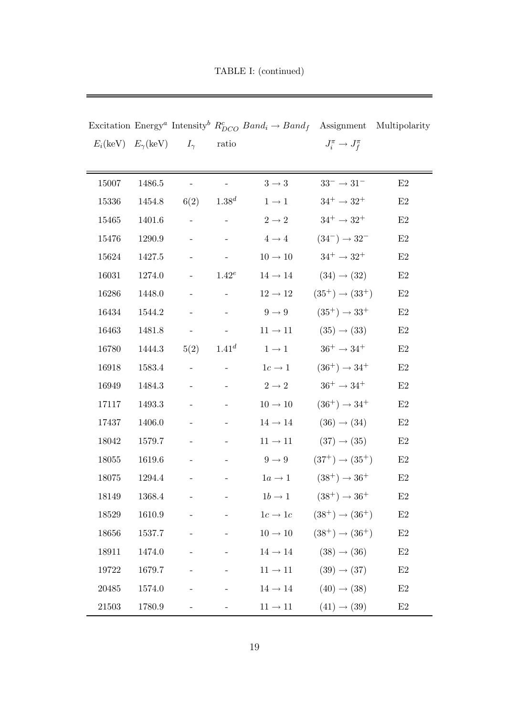| TABLE I: (continued) |
|----------------------|
|                      |

|           |            |                                                         |                                                       | Excitation Energy <sup><i>a</i></sup> Intensity <sup><i>b</i></sup> $R_{DCO}^c$ Band <sub>i</sub> $\rightarrow$ Band <sub>f</sub> Assignment Multipolarity |                                             |               |
|-----------|------------|---------------------------------------------------------|-------------------------------------------------------|------------------------------------------------------------------------------------------------------------------------------------------------------------|---------------------------------------------|---------------|
|           |            | $E_i(\text{keV})$ $E_{\gamma}(\text{keV})$ $I_{\gamma}$ | ratio                                                 |                                                                                                                                                            | $J_i^{\pi} \to J_f^{\pi}$                   |               |
|           |            |                                                         |                                                       |                                                                                                                                                            |                                             |               |
| 15007     | 1486.5     |                                                         |                                                       | $3\rightarrow 3$                                                                                                                                           | $33^-\rightarrow31^-$                       | E2            |
| 15336     | 1454.8     | $6(2)$ $1.38d$                                          |                                                       | $1 \rightarrow 1$                                                                                                                                          | $34^+ \rightarrow 32^+$                     | E2            |
| 15465     | 1401.6     |                                                         |                                                       | $2 \rightarrow 2$                                                                                                                                          | $34^+ \rightarrow 32^+$                     | $\mathrm{E}2$ |
| 15476     | 1290.9     |                                                         |                                                       | $4 \rightarrow 4$                                                                                                                                          | $(34^{-}) \rightarrow 32^{-}$               | E2            |
| 15624     | 1427.5     |                                                         |                                                       | $10 \rightarrow 10$                                                                                                                                        | $34^{+} \rightarrow 32^{+}$                 | $\mathrm{E}2$ |
| 16031     | 1274.0     |                                                         | $1.42^e$                                              |                                                                                                                                                            | $14 \rightarrow 14$ $(34) \rightarrow (32)$ | E2            |
| 16286     | 1448.0     |                                                         |                                                       | $12 \rightarrow 12$                                                                                                                                        | $(35^+) \rightarrow (33^+)$                 | $\mathrm{E}2$ |
| 16434     | 1544.2     |                                                         |                                                       | $9 \rightarrow 9$                                                                                                                                          | $(35^+) \rightarrow 33^+$                   | $\mathrm{E}2$ |
| 16463     | 1481.8     | $\frac{1}{2}$ and $\frac{1}{2}$                         | $\mathcal{L}_{\rm{max}}$ and $\mathcal{L}_{\rm{max}}$ | $11 \rightarrow 11$                                                                                                                                        | $(35) \rightarrow (33)$                     | E2            |
| 16780     | 1444.3     | $5(2)$ $1.41^d$                                         |                                                       | $1 \rightarrow 1$                                                                                                                                          | $36^+ \rightarrow 34^+$                     | $\mathrm{E}2$ |
| 16918     | 1583.4     | the company of the com-                                 |                                                       | $1c \rightarrow 1$                                                                                                                                         | $(36^+) \rightarrow 34^+$                   | $\mathrm{E}2$ |
| 16949     | 1484.3     |                                                         |                                                       |                                                                                                                                                            | $2 \to 2$ $36^+ \to 34^+$                   | E2            |
| 17117     | 1493.3     |                                                         |                                                       | $10 \rightarrow 10$                                                                                                                                        | $(36^+) \rightarrow 34^+$                   | $\mathrm{E}2$ |
| 17437     | 1406.0     |                                                         |                                                       | $14 \rightarrow 14$                                                                                                                                        | $(36) \rightarrow (34)$                     | E2            |
| 18042     | 1579.7     |                                                         |                                                       | $11 \rightarrow 11$                                                                                                                                        | $(37) \rightarrow (35)$                     | E2            |
| 18055     | $1619.6\,$ |                                                         |                                                       | $9 \rightarrow 9$                                                                                                                                          | $(37^+) \rightarrow (35^+)$                 | $\mathrm{E}2$ |
| 18075     | 1294.4     |                                                         |                                                       |                                                                                                                                                            | $1a \to 1$ $(38^+) \to 36^+$                | E2            |
| 18149     | 1368.4     |                                                         |                                                       | - - $1b \to 1$ $(38^+) \to 36^+$                                                                                                                           |                                             | E2            |
| 18529     | 1610.9     |                                                         | $\frac{1}{2}$ , and $\frac{1}{2}$ , and $\frac{1}{2}$ |                                                                                                                                                            | $1c \to 1c$ $(38^+) \to (36^+)$             | $\mathrm{E}2$ |
| 18656     | 1537.7     |                                                         |                                                       | $10 \rightarrow 10$ $(38^{+}) \rightarrow (36^{+})$                                                                                                        |                                             | E2            |
| 18911     | 1474.0     |                                                         |                                                       | $-14 \rightarrow 14$ $(38) \rightarrow (36)$                                                                                                               |                                             | E2            |
| 19722     | 1679.7     |                                                         |                                                       | $11 \rightarrow 11$ $(39) \rightarrow (37)$                                                                                                                |                                             | E2            |
| 20485     | 1574.0     |                                                         |                                                       |                                                                                                                                                            | $14 \rightarrow 14$ $(40) \rightarrow (38)$ | $\rm E2$      |
| $21503\,$ | 1780.9     |                                                         |                                                       |                                                                                                                                                            | $11 \rightarrow 11$ $(41) \rightarrow (39)$ | $\rm E2$      |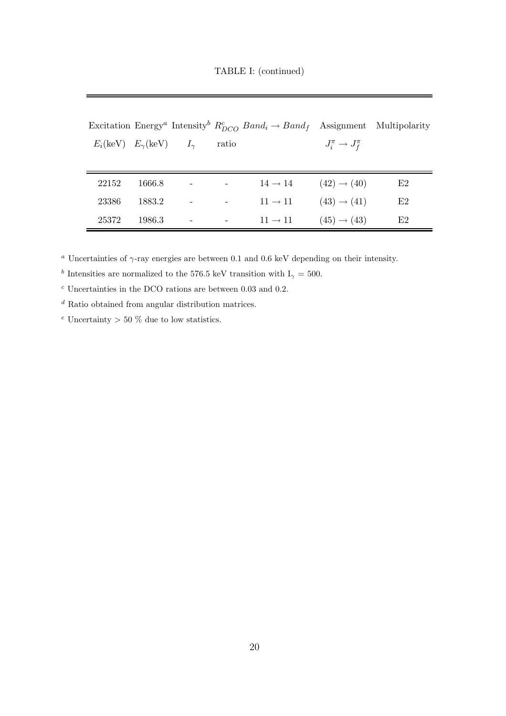TABLE I: (continued)

|       |        |                                                         |       | Excitation Energy <sup><i>a</i></sup> Intensity <sup>b</sup> $R_{DCO}^c$ Band <sub>i</sub> $\rightarrow$ Band <sub>f</sub> Assignment Multipolarity |                           |    |
|-------|--------|---------------------------------------------------------|-------|-----------------------------------------------------------------------------------------------------------------------------------------------------|---------------------------|----|
|       |        | $E_i(\text{keV})$ $E_{\gamma}(\text{keV})$ $I_{\gamma}$ | ratio |                                                                                                                                                     | $J_i^{\pi} \to J_f^{\pi}$ |    |
|       |        |                                                         |       |                                                                                                                                                     |                           |    |
| 22152 | 1666.8 |                                                         |       | $14 \rightarrow 14$                                                                                                                                 | $(42) \rightarrow (40)$   | E2 |
| 23386 | 1883.2 |                                                         |       | $11 \rightarrow 11$                                                                                                                                 | $(43) \rightarrow (41)$   | E2 |
| 25372 | 1986.3 |                                                         |       | $11 \rightarrow 11$                                                                                                                                 | $(45) \rightarrow (43)$   | E2 |

<sup>a</sup> Uncertainties of  $\gamma$ -ray energies are between 0.1 and 0.6 keV depending on their intensity.

<sup>b</sup> Intensities are normalized to the 576.5 keV transition with  $I_{\gamma} = 500$ .

 $^c$ Uncertainties in the DCO rations are between 0.03 and 0.2.

 $\real^d$ Ratio obtained from angular distribution matrices.

 $e$  Uncertainty  $> 50\%$  due to low statistics.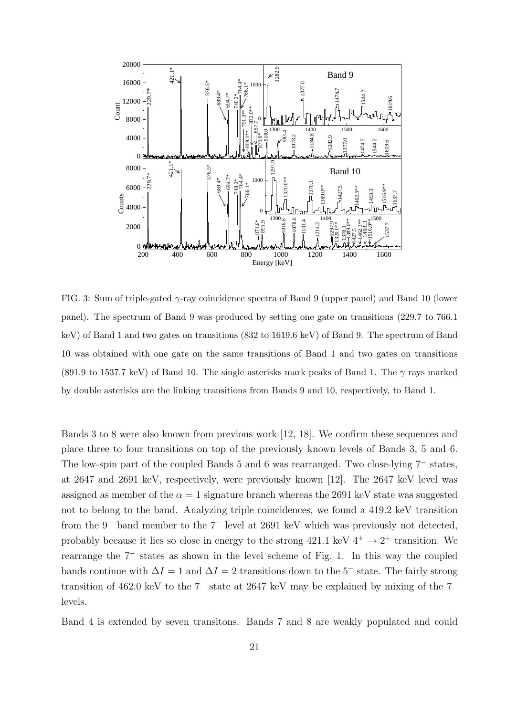

FIG. 3: Sum of triple-gated  $\gamma$ -ray coincidence spectra of Band 9 (upper panel) and Band 10 (lower panel). The spectrum of Band 9 was produced by setting one gate on transitions (229.7 to 766.1 keV) of Band 1 and two gates on transitions (832 to 1619.6 keV) of Band 9. The spectrum of Band 10 was obtained with one gate on the same transitions of Band 1 and two gates on transitions (891.9 to 1537.7 keV) of Band 10. The single asterisks mark peaks of Band 1. The  $\gamma$  rays marked by double asterisks are the linking transitions from Bands 9 and 10, respectively, to Band 1.

Bands 3 to 8 were also known from previous work [12, 18]. We confirm these sequences and place three to four transitions on top of the previously known levels of Bands 3, 5 and 6. The low-spin part of the coupled Bands 5 and 6 was rearranged. Two close-lying 7<sup>−</sup> states, at 2647 and 2691 keV, respectively, were previously known [12]. The 2647 keV level was assigned as member of the  $\alpha = 1$  signature branch whereas the 2691 keV state was suggested not to belong to the band. Analyzing triple coincidences, we found a 419.2 keV transition from the 9<sup>−</sup> band member to the 7<sup>−</sup> level at 2691 keV which was previously not detected, probably because it lies so close in energy to the strong  $421.1 \text{ keV } 4^+ \rightarrow 2^+$  transition. We rearrange the 7<sup>−</sup> states as shown in the level scheme of Fig. 1. In this way the coupled bands continue with  $\Delta I = 1$  and  $\Delta I = 2$  transitions down to the 5<sup>-</sup> state. The fairly strong transition of 462.0 keV to the 7<sup>−</sup> state at 2647 keV may be explained by mixing of the 7<sup>−</sup> levels.

Band 4 is extended by seven transitons. Bands 7 and 8 are weakly populated and could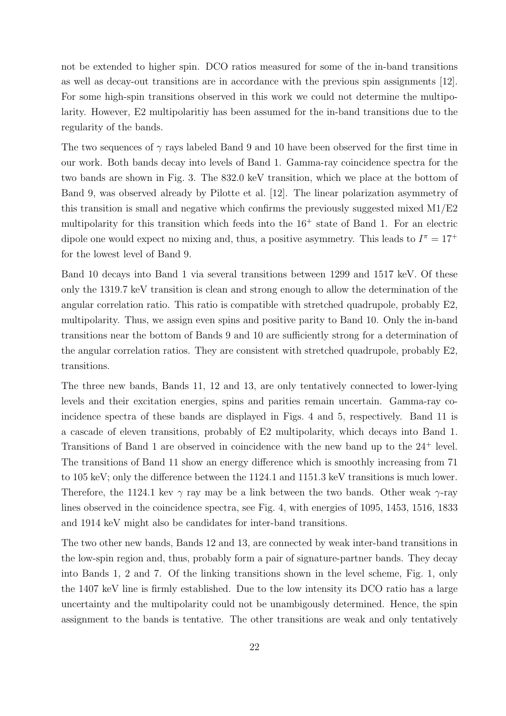not be extended to higher spin. DCO ratios measured for some of the in-band transitions as well as decay-out transitions are in accordance with the previous spin assignments [12]. For some high-spin transitions observed in this work we could not determine the multipolarity. However, E2 multipolaritiy has been assumed for the in-band transitions due to the regularity of the bands.

The two sequences of  $\gamma$  rays labeled Band 9 and 10 have been observed for the first time in our work. Both bands decay into levels of Band 1. Gamma-ray coincidence spectra for the two bands are shown in Fig. 3. The 832.0 keV transition, which we place at the bottom of Band 9, was observed already by Pilotte et al. [12]. The linear polarization asymmetry of this transition is small and negative which confirms the previously suggested mixed M1/E2 multipolarity for this transition which feeds into the  $16<sup>+</sup>$  state of Band 1. For an electric dipole one would expect no mixing and, thus, a positive asymmetry. This leads to  $I^{\pi} = 17^{+}$ for the lowest level of Band 9.

Band 10 decays into Band 1 via several transitions between 1299 and 1517 keV. Of these only the 1319.7 keV transition is clean and strong enough to allow the determination of the angular correlation ratio. This ratio is compatible with stretched quadrupole, probably E2, multipolarity. Thus, we assign even spins and positive parity to Band 10. Only the in-band transitions near the bottom of Bands 9 and 10 are sufficiently strong for a determination of the angular correlation ratios. They are consistent with stretched quadrupole, probably E2, transitions.

The three new bands, Bands 11, 12 and 13, are only tentatively connected to lower-lying levels and their excitation energies, spins and parities remain uncertain. Gamma-ray coincidence spectra of these bands are displayed in Figs. 4 and 5, respectively. Band 11 is a cascade of eleven transitions, probably of E2 multipolarity, which decays into Band 1. Transitions of Band 1 are observed in coincidence with the new band up to the 24<sup>+</sup> level. The transitions of Band 11 show an energy difference which is smoothly increasing from 71 to 105 keV; only the difference between the 1124.1 and 1151.3 keV transitions is much lower. Therefore, the 1124.1 kev  $\gamma$  ray may be a link between the two bands. Other weak  $\gamma$ -ray lines observed in the coincidence spectra, see Fig. 4, with energies of 1095, 1453, 1516, 1833 and 1914 keV might also be candidates for inter-band transitions.

The two other new bands, Bands 12 and 13, are connected by weak inter-band transitions in the low-spin region and, thus, probably form a pair of signature-partner bands. They decay into Bands 1, 2 and 7. Of the linking transitions shown in the level scheme, Fig. 1, only the 1407 keV line is firmly established. Due to the low intensity its DCO ratio has a large uncertainty and the multipolarity could not be unambigously determined. Hence, the spin assignment to the bands is tentative. The other transitions are weak and only tentatively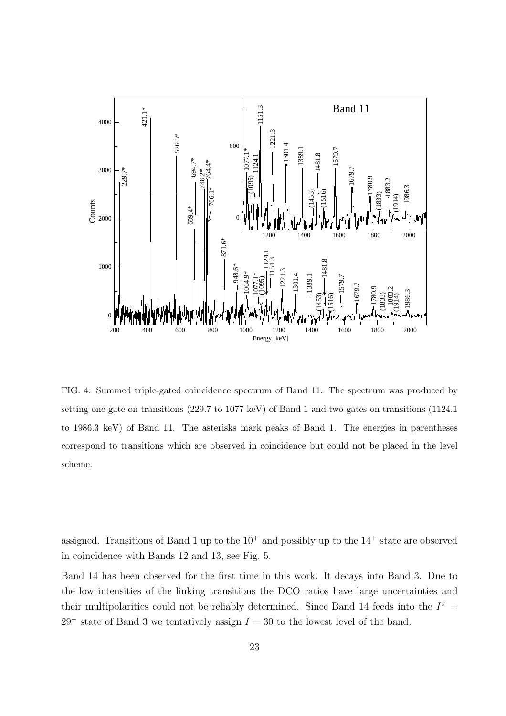

FIG. 4: Summed triple-gated coincidence spectrum of Band 11. The spectrum was produced by setting one gate on transitions (229.7 to 1077 keV) of Band 1 and two gates on transitions (1124.1 to 1986.3 keV) of Band 11. The asterisks mark peaks of Band 1. The energies in parentheses correspond to transitions which are observed in coincidence but could not be placed in the level scheme.

assigned. Transitions of Band 1 up to the  $10^+$  and possibly up to the  $14^+$  state are observed in coincidence with Bands 12 and 13, see Fig. 5.

Band 14 has been observed for the first time in this work. It decays into Band 3. Due to the low intensities of the linking transitions the DCO ratios have large uncertainties and their multipolarities could not be reliably determined. Since Band 14 feeds into the  $I^{\pi}$  = 29<sup>-</sup> state of Band 3 we tentatively assign  $I = 30$  to the lowest level of the band.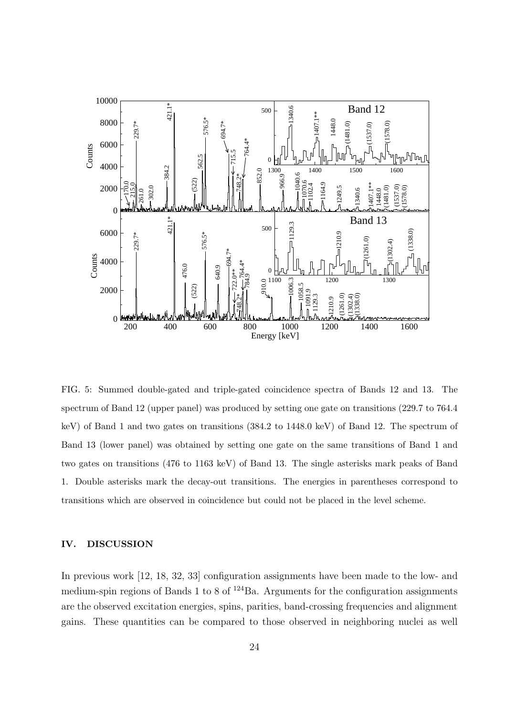

FIG. 5: Summed double-gated and triple-gated coincidence spectra of Bands 12 and 13. The spectrum of Band 12 (upper panel) was produced by setting one gate on transitions (229.7 to 764.4 keV) of Band 1 and two gates on transitions (384.2 to 1448.0 keV) of Band 12. The spectrum of Band 13 (lower panel) was obtained by setting one gate on the same transitions of Band 1 and two gates on transitions (476 to 1163 keV) of Band 13. The single asterisks mark peaks of Band 1. Double asterisks mark the decay-out transitions. The energies in parentheses correspond to transitions which are observed in coincidence but could not be placed in the level scheme.

## IV. DISCUSSION

In previous work [12, 18, 32, 33] configuration assignments have been made to the low- and medium-spin regions of Bands 1 to 8 of  $124$ Ba. Arguments for the configuration assignments are the observed excitation energies, spins, parities, band-crossing frequencies and alignment gains. These quantities can be compared to those observed in neighboring nuclei as well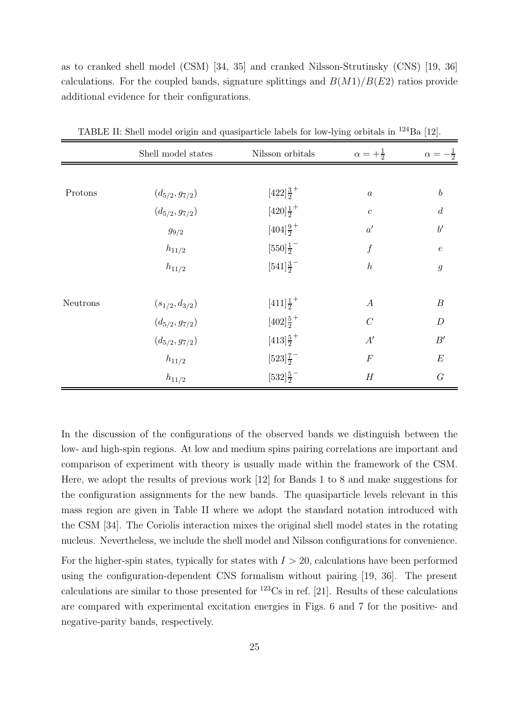as to cranked shell model (CSM) [34, 35] and cranked Nilsson-Strutinsky (CNS) [19, 36] calculations. For the coupled bands, signature splittings and  $B(M1)/B(E2)$  ratios provide additional evidence for their configurations.

|          | Shell model states   | Nilsson orbitals                | $\alpha = +\frac{1}{2}$ | $\alpha=-\frac{1}{2}$ |
|----------|----------------------|---------------------------------|-------------------------|-----------------------|
|          |                      |                                 |                         |                       |
| Protons  | $(d_{5/2}, g_{7/2})$ | $[422]\frac{3}{2}^+$            | $\boldsymbol{a}$        | $\boldsymbol{b}$      |
|          | $(d_{5/2}, g_{7/2})$ | $[420]\frac{1}{2}$ <sup>+</sup> | $\boldsymbol{c}$        | $\boldsymbol{d}$      |
|          | $g_{9/2}$            | $[404]\frac{9}{2}$ <sup>+</sup> | $a^{\prime}$            | $b^\prime$            |
|          | $h_{11/2}$           | $[550]\frac{1}{2}$              | $\boldsymbol{f}$        | $\boldsymbol{e}$      |
|          | $h_{11/2}$           | $[541]\frac{3}{2}$              | $\boldsymbol{h}$        | $\mathfrak g$         |
| Neutrons | $(s_{1/2}, d_{3/2})$ | $[411]\frac{1}{2}^+$            | $\boldsymbol{A}$        | $\boldsymbol{B}$      |
|          | $(d_{5/2}, g_{7/2})$ | $[402]\frac{5}{2}$ <sup>+</sup> | $\overline{C}$          | $\boldsymbol{D}$      |
|          | $(d_{5/2}, g_{7/2})$ | $[413]\frac{5}{2}$ <sup>+</sup> | A'                      | B'                    |
|          | $h_{11/2}$           | $[523]\frac{7}{2}$              | $\cal F$                | $\boldsymbol{E}$      |
|          | $h_{11/2}$           | $[532]\frac{5}{2}$              | $\boldsymbol{H}$        | $\cal G$              |

TABLE II: Shell model origin and quasiparticle labels for low-lying orbitals in <sup>124</sup>Ba [12].

In the discussion of the configurations of the observed bands we distinguish between the low- and high-spin regions. At low and medium spins pairing correlations are important and comparison of experiment with theory is usually made within the framework of the CSM. Here, we adopt the results of previous work [12] for Bands 1 to 8 and make suggestions for the configuration assignments for the new bands. The quasiparticle levels relevant in this mass region are given in Table II where we adopt the standard notation introduced with the CSM [34]. The Coriolis interaction mixes the original shell model states in the rotating nucleus. Nevertheless, we include the shell model and Nilsson configurations for convenience.

For the higher-spin states, typically for states with  $I > 20$ , calculations have been performed using the configuration-dependent CNS formalism without pairing [19, 36]. The present calculations are similar to those presented for  $^{123}Cs$  in ref. [21]. Results of these calculations are compared with experimental excitation energies in Figs. 6 and 7 for the positive- and negative-parity bands, respectively.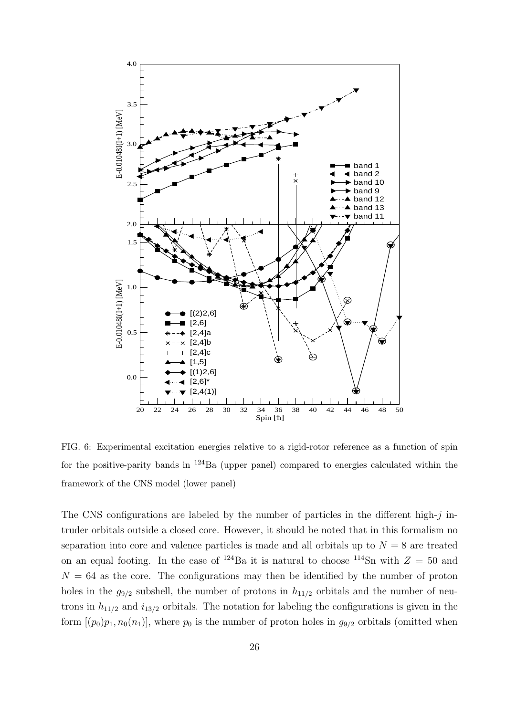

FIG. 6: Experimental excitation energies relative to a rigid-rotor reference as a function of spin for the positive-parity bands in  $^{124}Ba$  (upper panel) compared to energies calculated within the framework of the CNS model (lower panel)

The CNS configurations are labeled by the number of particles in the different high- $j$  intruder orbitals outside a closed core. However, it should be noted that in this formalism no separation into core and valence particles is made and all orbitals up to  $N = 8$  are treated on an equal footing. In the case of <sup>124</sup>Ba it is natural to choose <sup>114</sup>Sn with  $Z = 50$  and  $N = 64$  as the core. The configurations may then be identified by the number of proton holes in the  $g_{9/2}$  subshell, the number of protons in  $h_{11/2}$  orbitals and the number of neutrons in  $h_{11/2}$  and  $i_{13/2}$  orbitals. The notation for labeling the configurations is given in the form  $[(p_0)p_1, n_0(n_1)]$ , where  $p_0$  is the number of proton holes in  $g_{9/2}$  orbitals (omitted when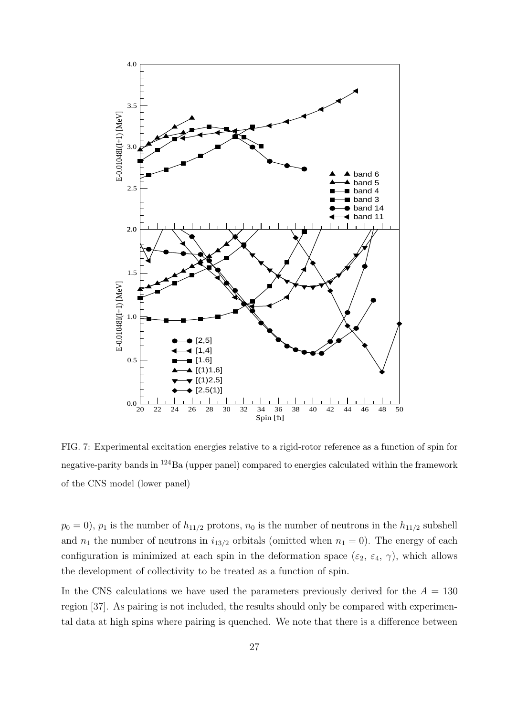

FIG. 7: Experimental excitation energies relative to a rigid-rotor reference as a function of spin for negative-parity bands in <sup>124</sup>Ba (upper panel) compared to energies calculated within the framework of the CNS model (lower panel)

 $p_0 = 0$ ,  $p_1$  is the number of  $h_{11/2}$  protons,  $n_0$  is the number of neutrons in the  $h_{11/2}$  subshell and  $n_1$  the number of neutrons in  $i_{13/2}$  orbitals (omitted when  $n_1 = 0$ ). The energy of each configuration is minimized at each spin in the deformation space  $(\varepsilon_2, \varepsilon_4, \gamma)$ , which allows the development of collectivity to be treated as a function of spin.

In the CNS calculations we have used the parameters previously derived for the  $A = 130$ region [37]. As pairing is not included, the results should only be compared with experimental data at high spins where pairing is quenched. We note that there is a difference between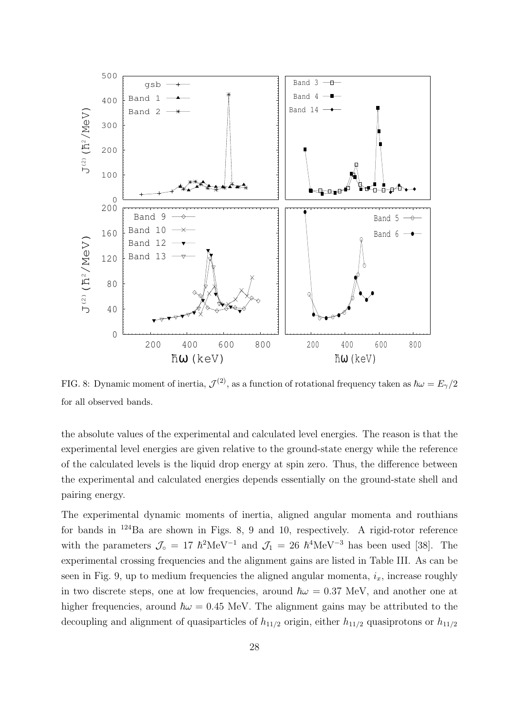

FIG. 8: Dynamic moment of inertia,  $\mathcal{J}^{(2)}$ , as a function of rotational frequency taken as  $\hbar\omega = E_{\gamma}/2$ for all observed bands.

the absolute values of the experimental and calculated level energies. The reason is that the experimental level energies are given relative to the ground-state energy while the reference of the calculated levels is the liquid drop energy at spin zero. Thus, the difference between the experimental and calculated energies depends essentially on the ground-state shell and pairing energy.

The experimental dynamic moments of inertia, aligned angular momenta and routhians for bands in <sup>124</sup>Ba are shown in Figs. 8, 9 and 10, respectively. A rigid-rotor reference with the parameters  $\mathcal{J}_{\circ} = 17 \hbar^2 \text{MeV}^{-1}$  and  $\mathcal{J}_1 = 26 \hbar^4 \text{MeV}^{-3}$  has been used [38]. The experimental crossing frequencies and the alignment gains are listed in Table III. As can be seen in Fig. 9, up to medium frequencies the aligned angular momenta,  $i_x$ , increase roughly in two discrete steps, one at low frequencies, around  $\hbar \omega = 0.37$  MeV, and another one at higher frequencies, around  $\hbar \omega = 0.45$  MeV. The alignment gains may be attributed to the decoupling and alignment of quasiparticles of  $h_{11/2}$  origin, either  $h_{11/2}$  quasiprotons or  $h_{11/2}$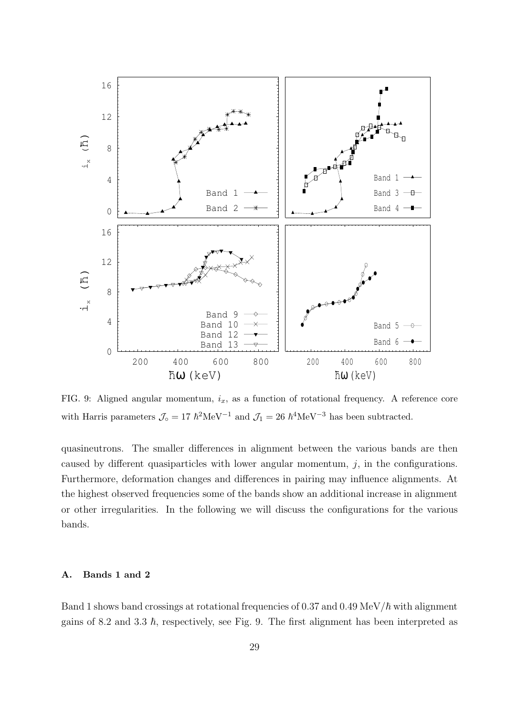

FIG. 9: Aligned angular momentum,  $i_x$ , as a function of rotational frequency. A reference core with Harris parameters  $\mathcal{J}_{\text{o}} = 17 \hbar^2 \text{MeV}^{-1}$  and  $\mathcal{J}_1 = 26 \hbar^4 \text{MeV}^{-3}$  has been subtracted.

quasineutrons. The smaller differences in alignment between the various bands are then caused by different quasiparticles with lower angular momentum,  $j$ , in the configurations. Furthermore, deformation changes and differences in pairing may influence alignments. At the highest observed frequencies some of the bands show an additional increase in alignment or other irregularities. In the following we will discuss the configurations for the various bands.

### A. Bands 1 and 2

Band 1 shows band crossings at rotational frequencies of 0.37 and 0.49 MeV/ $\hbar$  with alignment gains of 8.2 and 3.3  $\hbar$ , respectively, see Fig. 9. The first alignment has been interpreted as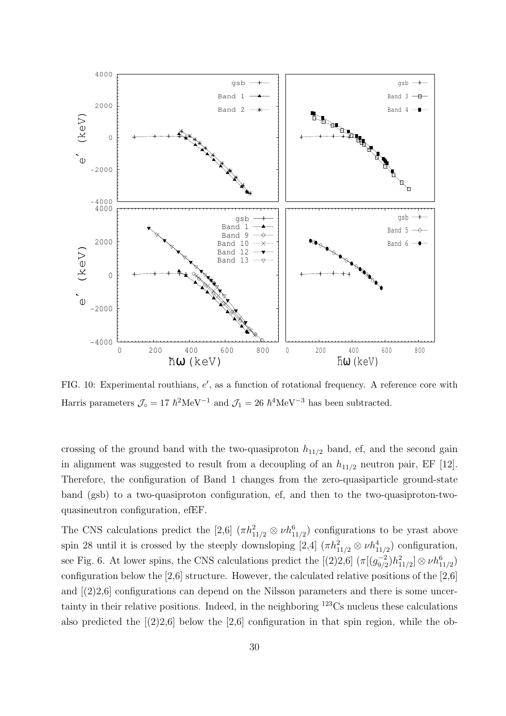

FIG. 10: Experimental routhians, e', as a function of rotational frequency. A reference core with Harris parameters  $\mathcal{J}_{\text{o}} = 17 \hbar^2 \text{MeV}^{-1}$  and  $\mathcal{J}_1 = 26 \hbar^4 \text{MeV}^{-3}$  has been subtracted.

crossing of the ground band with the two-quasiproton  $h_{11/2}$  band, ef, and the second gain in alignment was suggested to result from a decoupling of an  $h_{11/2}$  neutron pair, EF [12]. Therefore, the configuration of Band 1 changes from the zero-quasiparticle ground-state band (gsb) to a two-quasiproton configuration, ef, and then to the two-quasiproton-twoquasineutron configuration, efEF.

The CNS calculations predict the [2,6]  $(\pi h_{11/2}^2 \otimes \nu h_{11/2}^6)$  configurations to be yrast above spin 28 until it is crossed by the steeply downsloping [2,4]  $(\pi h_{11/2}^2 \otimes \nu h_{11/2}^4)$  configuration, see Fig. 6. At lower spins, the CNS calculations predict the  $[(2)2,6]$   $(\pi [(g_{9/2}^{-2})]$  $\frac{1}{9/2}$ ) $h^2_{11/2}$ ]  $\otimes \nu h^6_{11/2})$ configuration below the [2,6] structure. However, the calculated relative positions of the [2,6] and  $(2)2,6$  configurations can depend on the Nilsson parameters and there is some uncertainty in their relative positions. Indeed, in the neighboring <sup>123</sup>Cs nucleus these calculations also predicted the  $(2)2.6$  below the  $[2.6]$  configuration in that spin region, while the ob-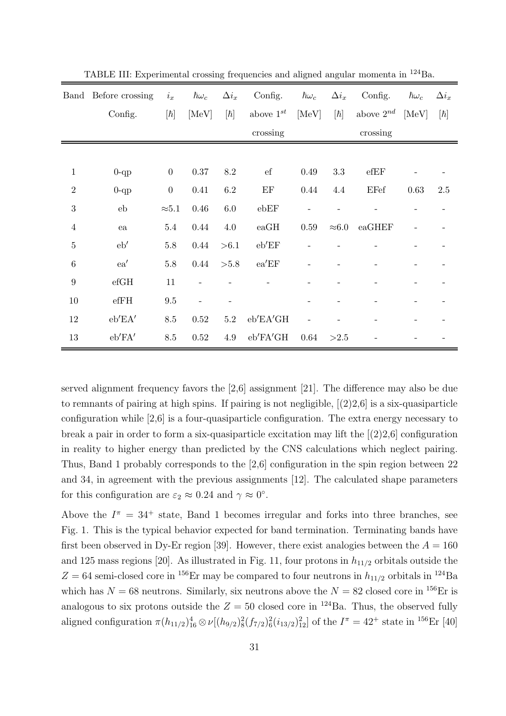|                  | Band Before crossing  | $i_x$            | $\hbar\omega_c$ | $\Delta i_x$                                                                                                                                                                        | Config.             | $\hbar\omega_c$ | $\Delta i_x$  | Config.        | $\hbar\omega_c$ | $\Delta i_x$ |
|------------------|-----------------------|------------------|-----------------|-------------------------------------------------------------------------------------------------------------------------------------------------------------------------------------|---------------------|-----------------|---------------|----------------|-----------------|--------------|
|                  | Config.               | $[\hbar]$        | [MeV]           | $[\hbar] % \centering \includegraphics[width=0.9\columnwidth]{figures/fig_10.pdf} \caption{The figure shows the number of parameters in the left and right.} \label{fig:fig_11}} %$ | above $1^{st}$      | [MeV]           |               | above $2^{nd}$ | [MeV]           | $[\hbar]$    |
|                  |                       |                  |                 |                                                                                                                                                                                     | crossing            |                 |               | crossing       |                 |              |
|                  |                       |                  |                 |                                                                                                                                                                                     |                     |                 |               |                |                 |              |
| $\mathbf 1$      | $0$ -qp               | $\boldsymbol{0}$ | $0.37\,$        | $8.2\,$                                                                                                                                                                             | $_{\rm ef}$         | 0.49            | 3.3           | efEF           |                 |              |
| $\overline{2}$   | $0$ -qp               | $\boldsymbol{0}$ | 0.41            | $6.2\,$                                                                                                                                                                             | $\operatorname{EF}$ | 0.44            | $4.4\,$       | EFef           | 0.63            | 2.5          |
| 3                | eb                    | ${\approx}5.1$   | $0.46\,$        | $6.0\,$                                                                                                                                                                             | ebEF                |                 |               |                |                 |              |
| $\overline{4}$   | ea                    | 5.4              | 0.44            | $4.0\,$                                                                                                                                                                             | eaGH                | 0.59            | $\approx 6.0$ | eaGHEF         |                 |              |
| $\bf 5$          | eb'                   | 5.8              | 0.44            | > 6.1                                                                                                                                                                               | eb'EF               |                 |               |                |                 |              |
| $\,6$            | ea'                   | $5.8\,$          | 0.44            | > 5.8                                                                                                                                                                               | ea'EF               |                 |               |                |                 |              |
| $\boldsymbol{9}$ | $\rm{e}fGH$           | 11               |                 |                                                                                                                                                                                     |                     |                 |               |                |                 |              |
| $10\,$           | $\operatorname{effH}$ | $\,9.5$          |                 |                                                                                                                                                                                     |                     |                 |               |                |                 |              |
| 12               | eb'EA'                | $8.5\,$          | $0.52\,$        | $5.2\,$                                                                                                                                                                             | eb'EA'GH            |                 |               |                |                 |              |
| $13\,$           | eb'FA'                | 8.5              | 0.52            | $4.9\,$                                                                                                                                                                             | eb'FA'GH            | 0.64            | >2.5          |                |                 |              |

TABLE III: Experimental crossing frequencies and aligned angular momenta in <sup>124</sup>Ba.

served alignment frequency favors the [2,6] assignment [21]. The difference may also be due to remnants of pairing at high spins. If pairing is not negligible, [(2)2,6] is a six-quasiparticle configuration while [2,6] is a four-quasiparticle configuration. The extra energy necessary to break a pair in order to form a six-quasiparticle excitation may lift the  $[(2)2.6]$  configuration in reality to higher energy than predicted by the CNS calculations which neglect pairing. Thus, Band 1 probably corresponds to the [2,6] configuration in the spin region between 22 and 34, in agreement with the previous assignments [12]. The calculated shape parameters for this configuration are  $\varepsilon_2 \approx 0.24$  and  $\gamma \approx 0^{\circ}$ .

Above the  $I^{\pi} = 34^{+}$  state, Band 1 becomes irregular and forks into three branches, see Fig. 1. This is the typical behavior expected for band termination. Terminating bands have first been observed in Dy-Er region [39]. However, there exist analogies between the  $A = 160$ and 125 mass regions [20]. As illustrated in Fig. 11, four protons in  $h_{11/2}$  orbitals outside the  $Z = 64$  semi-closed core in <sup>156</sup>Er may be compared to four neutrons in  $h_{11/2}$  orbitals in <sup>124</sup>Ba which has  $N = 68$  neutrons. Similarly, six neutrons above the  $N = 82$  closed core in <sup>156</sup>Er is analogous to six protons outside the  $Z = 50$  closed core in <sup>124</sup>Ba. Thus, the observed fully aligned configuration  $\pi(h_{11/2})_{16}^4 \otimes \nu[(h_{9/2})_8^2(f_{7/2})_6^2(i_{13/2})_{12}^2]$  of the  $I^{\pi} = 42^+$  state in  $^{156}\text{Er}$  [40]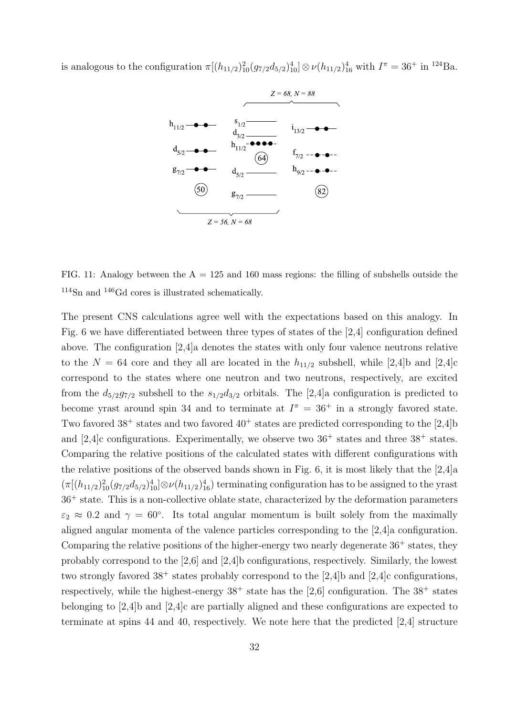is analogous to the configuration  $\pi[(h_{11/2})_{10}^2(g_{7/2}d_{5/2})_{10}^4] \otimes \nu(h_{11/2})_{16}^4$  with  $I^{\pi} = 36^+$  in <sup>124</sup>Ba.



FIG. 11: Analogy between the  $A = 125$  and 160 mass regions: the filling of subshells outside the <sup>114</sup>Sn and <sup>146</sup>Gd cores is illustrated schematically.

The present CNS calculations agree well with the expectations based on this analogy. In Fig. 6 we have differentiated between three types of states of the [2,4] configuration defined above. The configuration [2,4]a denotes the states with only four valence neutrons relative to the  $N = 64$  core and they all are located in the  $h_{11/2}$  subshell, while [2,4]b and [2,4]c correspond to the states where one neutron and two neutrons, respectively, are excited from the  $d_{5/2}g_{7/2}$  subshell to the  $s_{1/2}d_{3/2}$  orbitals. The [2,4]a configuration is predicted to become yrast around spin 34 and to terminate at  $I^{\pi} = 36^{+}$  in a strongly favored state. Two favored  $38^+$  states and two favored  $40^+$  states are predicted corresponding to the [2,4]b and  $[2,4]$ c configurations. Experimentally, we observe two  $36^+$  states and three  $38^+$  states. Comparing the relative positions of the calculated states with different configurations with the relative positions of the observed bands shown in Fig. 6, it is most likely that the [2,4]a  $(\pi[(h_{11/2})_{10}^2(g_{7/2}d_{5/2})_{10}^4]\otimes \nu(h_{11/2})_{16}^4)$  terminating configuration has to be assigned to the yrast  $36<sup>+</sup>$  state. This is a non-collective oblate state, characterized by the deformation parameters  $\varepsilon_2 \approx 0.2$  and  $\gamma = 60^{\circ}$ . Its total angular momentum is built solely from the maximally aligned angular momenta of the valence particles corresponding to the [2,4]a configuration. Comparing the relative positions of the higher-energy two nearly degenerate  $36^+$  states, they probably correspond to the [2,6] and [2,4]b configurations, respectively. Similarly, the lowest two strongly favored  $38^+$  states probably correspond to the [2,4]b and [2,4]c configurations, respectively, while the highest-energy  $38^+$  state has the [2,6] configuration. The  $38^+$  states belonging to [2,4]b and [2,4]c are partially aligned and these configurations are expected to terminate at spins 44 and 40, respectively. We note here that the predicted [2,4] structure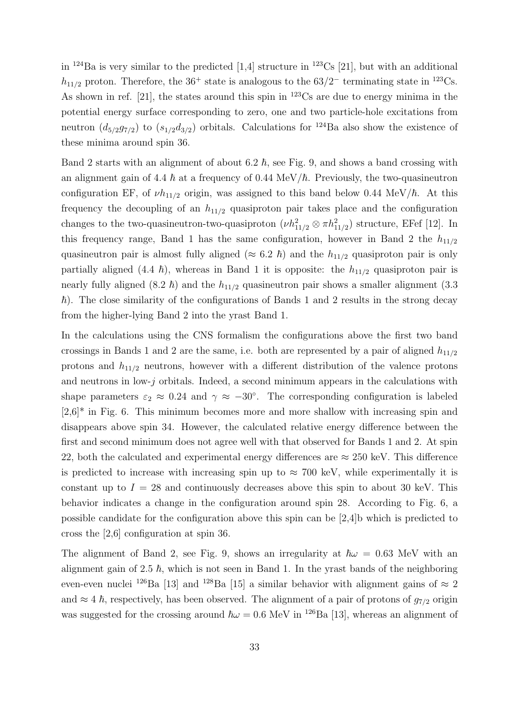in  $^{124}$ Ba is very similar to the predicted [1,4] structure in  $^{123}$ Cs [21], but with an additional  $h_{11/2}$  proton. Therefore, the 36<sup>+</sup> state is analogous to the 63/2<sup>-</sup> terminating state in <sup>123</sup>Cs. As shown in ref. [21], the states around this spin in  $123\text{Cs}$  are due to energy minima in the potential energy surface corresponding to zero, one and two particle-hole excitations from neutron  $(d_{5/2}g_{7/2})$  to  $(s_{1/2}d_{3/2})$  orbitals. Calculations for <sup>124</sup>Ba also show the existence of these minima around spin 36.

Band 2 starts with an alignment of about 6.2  $\hbar$ , see Fig. 9, and shows a band crossing with an alignment gain of 4.4  $h$  at a frequency of 0.44 MeV/ $\hbar$ . Previously, the two-quasineutron configuration EF, of  $\nu h_{11/2}$  origin, was assigned to this band below 0.44 MeV/ $\hbar$ . At this frequency the decoupling of an  $h_{11/2}$  quasiproton pair takes place and the configuration changes to the two-quasineutron-two-quasiproton  $(\nu h_{11/2}^2 \otimes \pi h_{11/2}^2)$  structure, EFef [12]. In this frequency range, Band 1 has the same configuration, however in Band 2 the  $h_{11/2}$ quasineutron pair is almost fully aligned ( $\approx 6.2 \hbar$ ) and the  $h_{11/2}$  quasiproton pair is only partially aligned (4.4  $\hbar$ ), whereas in Band 1 it is opposite: the  $h_{11/2}$  quasiproton pair is nearly fully aligned  $(8.2~\hbar)$  and the  $h_{11/2}$  quasineutron pair shows a smaller alignment  $(3.3~\,$  $\hbar$ ). The close similarity of the configurations of Bands 1 and 2 results in the strong decay from the higher-lying Band 2 into the yrast Band 1.

In the calculations using the CNS formalism the configurations above the first two band crossings in Bands 1 and 2 are the same, i.e. both are represented by a pair of aligned  $h_{11/2}$ protons and  $h_{11/2}$  neutrons, however with a different distribution of the valence protons and neutrons in low-j orbitals. Indeed, a second minimum appears in the calculations with shape parameters  $\varepsilon_2 \approx 0.24$  and  $\gamma \approx -30^{\circ}$ . The corresponding configuration is labeled  $[2,6]^*$  in Fig. 6. This minimum becomes more and more shallow with increasing spin and disappears above spin 34. However, the calculated relative energy difference between the first and second minimum does not agree well with that observed for Bands 1 and 2. At spin 22, both the calculated and experimental energy differences are  $\approx 250$  keV. This difference is predicted to increase with increasing spin up to  $\approx 700$  keV, while experimentally it is constant up to  $I = 28$  and continuously decreases above this spin to about 30 keV. This behavior indicates a change in the configuration around spin 28. According to Fig. 6, a possible candidate for the configuration above this spin can be [2,4]b which is predicted to cross the [2,6] configuration at spin 36.

The alignment of Band 2, see Fig. 9, shows an irregularity at  $\hbar\omega = 0.63$  MeV with an alignment gain of 2.5  $\hbar$ , which is not seen in Band 1. In the yrast bands of the neighboring even-even nuclei <sup>126</sup>Ba [13] and <sup>128</sup>Ba [15] a similar behavior with alignment gains of  $\approx 2$ and  $\approx 4 \hbar$ , respectively, has been observed. The alignment of a pair of protons of  $g_{7/2}$  origin was suggested for the crossing around  $\hbar \omega = 0.6$  MeV in <sup>126</sup>Ba [13], whereas an alignment of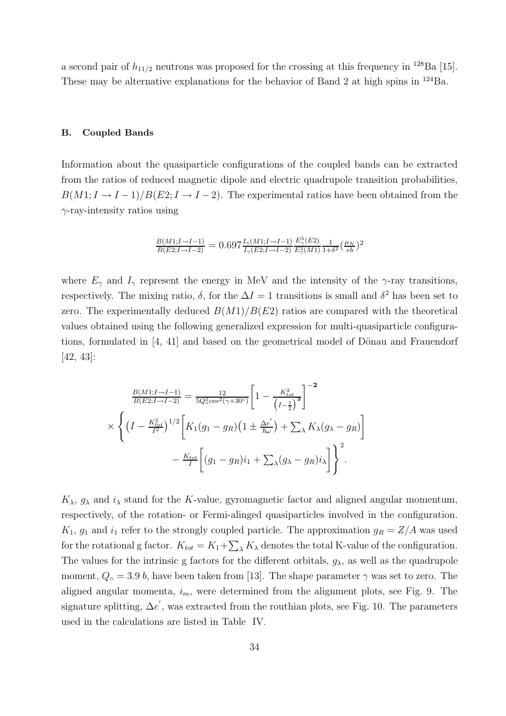a second pair of  $h_{11/2}$  neutrons was proposed for the crossing at this frequency in <sup>128</sup>Ba [15]. These may be alternative explanations for the behavior of Band 2 at high spins in <sup>124</sup>Ba.

#### B. Coupled Bands

Information about the quasiparticle configurations of the coupled bands can be extracted from the ratios of reduced magnetic dipole and electric quadrupole transition probabilities,  $B(M1; I \rightarrow I-1)/B(E2; I \rightarrow I-2)$ . The experimental ratios have been obtained from the  $\gamma$ -ray-intensity ratios using

$$
\frac{B(M1;I\rightarrow I-1)}{B(E2;I\rightarrow I-2)} = 0.697 \frac{I_{\gamma}(M1;I\rightarrow I-1)}{I_{\gamma}(E2;I\rightarrow I-2)} \frac{E_{\gamma}^{5}(E2)}{E_{\gamma}^{3}(M1)} \frac{1}{1+\delta^{2}} \left(\frac{\mu_{N}}{eb}\right)^{2}
$$

where  $E_{\gamma}$  and  $I_{\gamma}$  represent the energy in MeV and the intensity of the  $\gamma$ -ray transitions, respectively. The mixing ratio,  $\delta$ , for the  $\Delta I = 1$  transitions is small and  $\delta^2$  has been set to zero. The experimentally deduced  $B(M1)/B(E2)$  ratios are compared with the theoretical values obtained using the following generalized expression for multi-quasiparticle configurations, formulated in  $[4, 41]$  and based on the geometrical model of Dönau and Frauendorf [42, 43]:

$$
\frac{B(M1; I \to I - 1)}{B(E2; I \to I - 2)} = \frac{12}{5Q_0^2 \cos^2(\gamma + 30^\circ)} \left[ 1 - \frac{K_{tot}^2}{(I - \frac{1}{2})^2} \right]^{-2}
$$
  
 
$$
\times \left\{ \left( I - \frac{K_{tot}^2}{I^2} \right)^{1/2} \left[ K_1(g_1 - g_R) \left( 1 \pm \frac{\Delta e'}{\hbar \omega} \right) + \sum_{\lambda} K_{\lambda} (g_{\lambda} - g_R) \right] - \frac{K_{tot}}{I} \left[ (g_1 - g_R) i_1 + \sum_{\lambda} (g_{\lambda} - g_R) i_{\lambda} \right] \right\}^2.
$$

 $K_{\lambda}$ ,  $g_{\lambda}$  and  $i_{\lambda}$  stand for the K-value, gyromagnetic factor and aligned angular momentum, respectively, of the rotation- or Fermi-alinged quasiparticles involved in the configuration.  $K_1$ ,  $g_1$  and  $i_1$  refer to the strongly coupled particle. The approximation  $g_R = Z/A$  was used for the rotational g factor.  $K_{tot} = K_1 + \sum_{\lambda} K_{\lambda}$  denotes the total K-value of the configuration. The values for the intrinsic g factors for the different orbitals,  $g_{\lambda}$ , as well as the quadrupole moment,  $Q_{\circ} = 3.9 b$ , have been taken from [13]. The shape parameter  $\gamma$  was set to zero. The aligned angular momenta,  $i_m$ , were determined from the alignment plots, see Fig. 9. The signature splitting,  $\Delta e'$ , was extracted from the routhian plots, see Fig. 10. The parameters used in the calculations are listed in Table IV.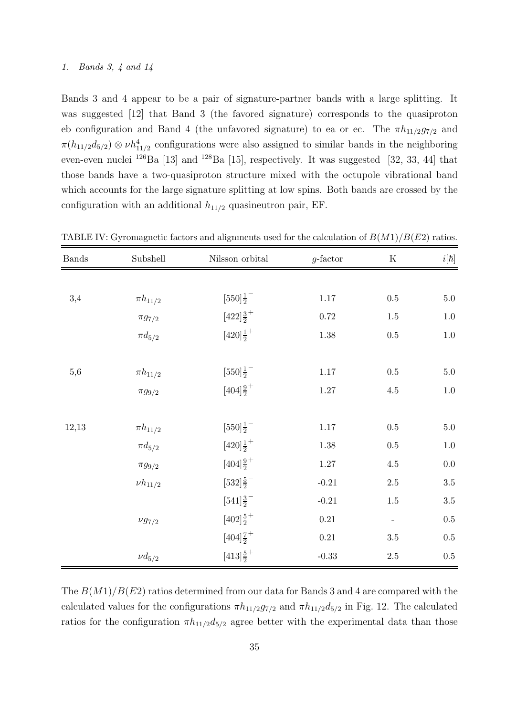#### 1. Bands 3, 4 and 14

Bands 3 and 4 appear to be a pair of signature-partner bands with a large splitting. It was suggested [12] that Band 3 (the favored signature) corresponds to the quasiproton eb configuration and Band 4 (the unfavored signature) to ea or ec. The  $\pi h_{11/2}g_{7/2}$  and  $\pi(h_{11/2}d_{5/2})\otimes \nu h_{11/2}^4$  configurations were also assigned to similar bands in the neighboring even-even nuclei  $^{126}$ Ba [13] and  $^{128}$ Ba [15], respectively. It was suggested [32, 33, 44] that those bands have a two-quasiproton structure mixed with the octupole vibrational band which accounts for the large signature splitting at low spins. Both bands are crossed by the configuration with an additional  $h_{11/2}$  quasineutron pair, EF.

| <b>Bands</b> | Subshell       | Nilsson orbital                 | $g$ -factor | $\mathbf K$              | $i[\hbar]$ |
|--------------|----------------|---------------------------------|-------------|--------------------------|------------|
|              |                |                                 |             |                          |            |
| 3,4          | $\pi h_{11/2}$ | $[550]\frac{1}{2}$              | $1.17\,$    | $0.5\,$                  | $5.0\,$    |
|              | $\pi g_{7/2}$  | $[422]\frac{3}{2}^+$            | $0.72\,$    | $1.5\,$                  | $1.0\,$    |
|              | $\pi d_{5/2}$  | $[420]\frac{1}{2}^+$            | $1.38\,$    | $0.5\,$                  | $1.0\,$    |
|              |                |                                 |             |                          |            |
| $_{5,6}$     | $\pi h_{11/2}$ | $[550]\frac{1}{2}^{-}$          | 1.17        | $0.5\,$                  | $5.0\,$    |
|              | $\pi g_{9/2}$  | $[404]\frac{9}{2}$ <sup>+</sup> | $1.27\,$    | $4.5\,$                  | $1.0\,$    |
|              |                |                                 |             |                          |            |
| 12,13        | $\pi h_{11/2}$ | $[550]\frac{1}{2}$              | $1.17\,$    | $0.5\,$                  | $5.0\,$    |
|              | $\pi d_{5/2}$  | $[420]\frac{1}{2}^+$            | $1.38\,$    | $0.5\,$                  | $1.0\,$    |
|              | $\pi g_{9/2}$  | $[404]\frac{9}{2}$ <sup>+</sup> | $1.27\,$    | $4.5\,$                  | $0.0\,$    |
|              | $\nu h_{11/2}$ | $[532]\frac{5}{2}$              | $-0.21$     | $2.5\,$                  | $3.5\,$    |
|              |                | $[541]\frac{3}{2}^-$            | $-0.21$     | $1.5\,$                  | $3.5\,$    |
|              | $\nu g_{7/2}$  | $[402]\frac{5}{2}$ <sup>+</sup> | $0.21\,$    | $\overline{\phantom{a}}$ | $0.5\,$    |
|              |                | $[404]\frac{7}{2}$ <sup>+</sup> | $0.21\,$    | $3.5\,$                  | $0.5\,$    |
|              | $\nu d_{5/2}$  | $[413]\frac{5}{2}$ <sup>+</sup> | $-0.33$     | $2.5\,$                  | $0.5\,$    |

TABLE IV: Gyromagnetic factors and alignments used for the calculation of  $B(M1)/B(E2)$  ratios.

The  $B(M1)/B(E2)$  ratios determined from our data for Bands 3 and 4 are compared with the calculated values for the configurations  $\pi h_{11/2}g_{7/2}$  and  $\pi h_{11/2}d_{5/2}$  in Fig. 12. The calculated ratios for the configuration  $\pi h_{11/2}d_{5/2}$  agree better with the experimental data than those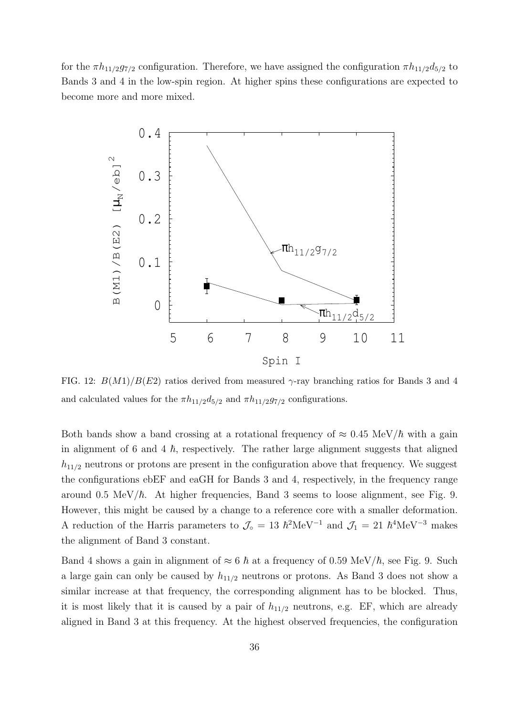for the  $\pi h_{11/2}g_{7/2}$  configuration. Therefore, we have assigned the configuration  $\pi h_{11/2}d_{5/2}$  to Bands 3 and 4 in the low-spin region. At higher spins these configurations are expected to become more and more mixed.



FIG. 12:  $B(M1)/B(E2)$  ratios derived from measured  $\gamma$ -ray branching ratios for Bands 3 and 4 and calculated values for the  $\pi h_{11/2}d_{5/2}$  and  $\pi h_{11/2}g_{7/2}$  configurations.

Both bands show a band crossing at a rotational frequency of  $\approx 0.45 \text{ MeV}/\hbar$  with a gain in alignment of 6 and 4  $h$ , respectively. The rather large alignment suggests that aligned  $h_{11/2}$  neutrons or protons are present in the configuration above that frequency. We suggest the configurations ebEF and eaGH for Bands 3 and 4, respectively, in the frequency range around 0.5 MeV/ $\hbar$ . At higher frequencies, Band 3 seems to loose alignment, see Fig. 9. However, this might be caused by a change to a reference core with a smaller deformation. A reduction of the Harris parameters to  $\mathcal{J}_{\circ} = 13 \hbar^2 \text{MeV}^{-1}$  and  $\mathcal{J}_1 = 21 \hbar^4 \text{MeV}^{-3}$  makes the alignment of Band 3 constant.

Band 4 shows a gain in alignment of  $\approx 6 \hbar$  at a frequency of 0.59 MeV/ $\hbar$ , see Fig. 9. Such a large gain can only be caused by  $h_{11/2}$  neutrons or protons. As Band 3 does not show a similar increase at that frequency, the corresponding alignment has to be blocked. Thus, it is most likely that it is caused by a pair of  $h_{11/2}$  neutrons, e.g. EF, which are already aligned in Band 3 at this frequency. At the highest observed frequencies, the configuration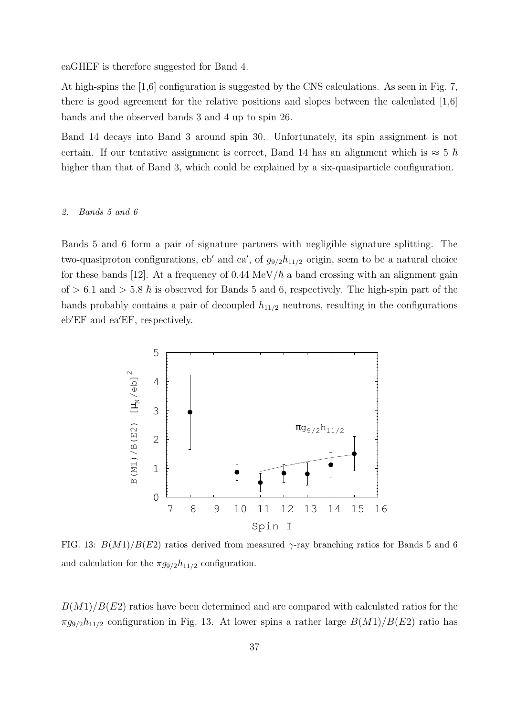eaGHEF is therefore suggested for Band 4.

At high-spins the [1,6] configuration is suggested by the CNS calculations. As seen in Fig. 7, there is good agreement for the relative positions and slopes between the calculated [1,6] bands and the observed bands 3 and 4 up to spin 26.

Band 14 decays into Band 3 around spin 30. Unfortunately, its spin assignment is not certain. If our tentative assignment is correct, Band 14 has an alignment which is  $\approx 5 \hbar$ higher than that of Band 3, which could be explained by a six-quasiparticle configuration.

#### 2. Bands 5 and 6

Bands 5 and 6 form a pair of signature partners with negligible signature splitting. The two-quasiproton configurations, eb' and ea', of  $g_{9/2}h_{11/2}$  origin, seem to be a natural choice for these bands [12]. At a frequency of  $0.44 \text{ MeV}/\hbar$  a band crossing with an alignment gain of  $> 6.1$  and  $> 5.8 \hbar$  is observed for Bands 5 and 6, respectively. The high-spin part of the bands probably contains a pair of decoupled  $h_{11/2}$  neutrons, resulting in the configurations eb′EF and ea′EF, respectively.



FIG. 13:  $B(M1)/B(E2)$  ratios derived from measured γ-ray branching ratios for Bands 5 and 6 and calculation for the  $\pi g_{9/2}h_{11/2}$  configuration.

 $B(M1)/B(E2)$  ratios have been determined and are compared with calculated ratios for the  $\pi g_{9/2}h_{11/2}$  configuration in Fig. 13. At lower spins a rather large  $B(M1)/B(E2)$  ratio has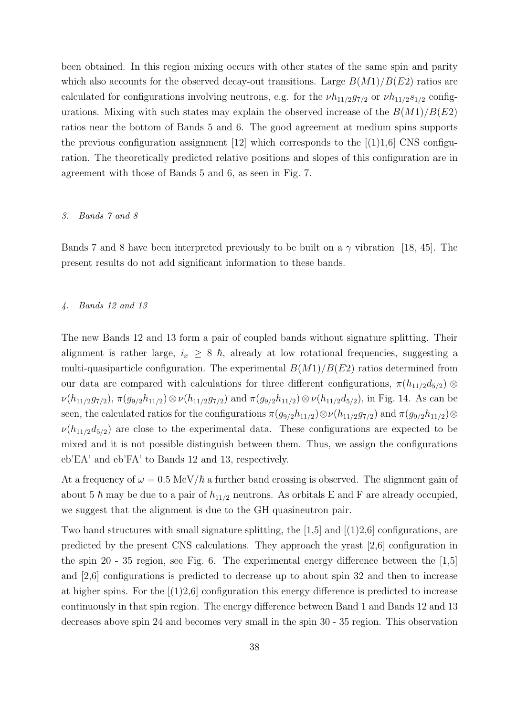been obtained. In this region mixing occurs with other states of the same spin and parity which also accounts for the observed decay-out transitions. Large  $B(M1)/B(E2)$  ratios are calculated for configurations involving neutrons, e.g. for the  $\nu h_{11/2}g_{7/2}$  or  $\nu h_{11/2}s_{1/2}$  configurations. Mixing with such states may explain the observed increase of the  $B(M1)/B(E2)$ ratios near the bottom of Bands 5 and 6. The good agreement at medium spins supports the previous configuration assignment  $[12]$  which corresponds to the  $[(1)1,6]$  CNS configuration. The theoretically predicted relative positions and slopes of this configuration are in agreement with those of Bands 5 and 6, as seen in Fig. 7.

#### 3. Bands 7 and 8

Bands 7 and 8 have been interpreted previously to be built on a  $\gamma$  vibration [18, 45]. The present results do not add significant information to these bands.

#### 4. Bands 12 and 13

The new Bands 12 and 13 form a pair of coupled bands without signature splitting. Their alignment is rather large,  $i_x \geq 8 \hbar$ , already at low rotational frequencies, suggesting a multi-quasiparticle configuration. The experimental  $B(M1)/B(E2)$  ratios determined from our data are compared with calculations for three different configurations,  $\pi(h_{11/2}d_{5/2})$  $\nu(h_{11/2}g_{7/2}), \pi(g_{9/2}h_{11/2})\otimes \nu(h_{11/2}g_{7/2})$  and  $\pi(g_{9/2}h_{11/2})\otimes \nu(h_{11/2}d_{5/2}),$  in Fig. 14. As can be seen, the calculated ratios for the configurations  $\pi(g_{9/2}h_{11/2})\otimes \nu(h_{11/2}g_{7/2})$  and  $\pi(g_{9/2}h_{11/2})\otimes$  $\nu(h_{11/2}d_{5/2})$  are close to the experimental data. These configurations are expected to be mixed and it is not possible distinguish between them. Thus, we assign the configurations eb'EA' and eb'FA' to Bands 12 and 13, respectively.

At a frequency of  $\omega = 0.5 \text{ MeV}/\hbar$  a further band crossing is observed. The alignment gain of about 5  $\hbar$  may be due to a pair of  $h_{11/2}$  neutrons. As orbitals E and F are already occupied, we suggest that the alignment is due to the GH quasineutron pair.

Two band structures with small signature splitting, the  $[1,5]$  and  $[(1)2,6]$  configurations, are predicted by the present CNS calculations. They approach the yrast [2,6] configuration in the spin 20 - 35 region, see Fig. 6. The experimental energy difference between the [1,5] and [2,6] configurations is predicted to decrease up to about spin 32 and then to increase at higher spins. For the  $(1)2,6$  configuration this energy difference is predicted to increase continuously in that spin region. The energy difference between Band 1 and Bands 12 and 13 decreases above spin 24 and becomes very small in the spin 30 - 35 region. This observation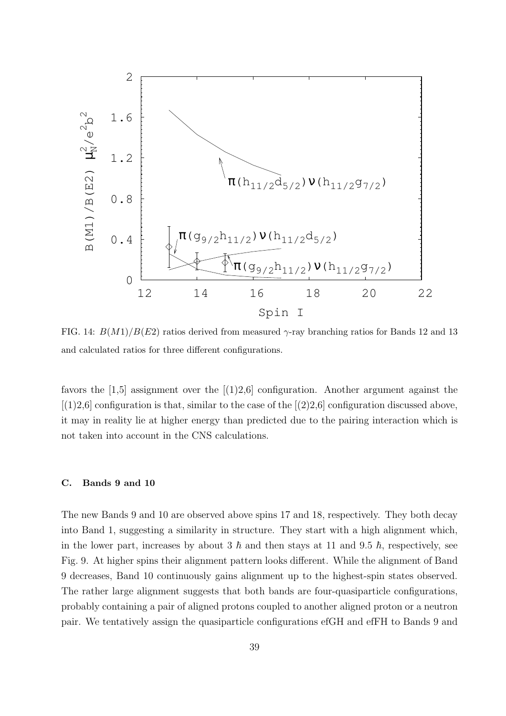

FIG. 14:  $B(M1)/B(E2)$  ratios derived from measured  $\gamma$ -ray branching ratios for Bands 12 and 13 and calculated ratios for three different configurations.

favors the  $[1,5]$  assignment over the  $[1,2,6]$  configuration. Another argument against the  $[(1)2,6]$  configuration is that, similar to the case of the  $[(2)2,6]$  configuration discussed above, it may in reality lie at higher energy than predicted due to the pairing interaction which is not taken into account in the CNS calculations.

#### C. Bands 9 and 10

The new Bands 9 and 10 are observed above spins 17 and 18, respectively. They both decay into Band 1, suggesting a similarity in structure. They start with a high alignment which, in the lower part, increases by about 3  $\hbar$  and then stays at 11 and 9.5  $\hbar$ , respectively, see Fig. 9. At higher spins their alignment pattern looks different. While the alignment of Band 9 decreases, Band 10 continuously gains alignment up to the highest-spin states observed. The rather large alignment suggests that both bands are four-quasiparticle configurations, probably containing a pair of aligned protons coupled to another aligned proton or a neutron pair. We tentatively assign the quasiparticle configurations efGH and efFH to Bands 9 and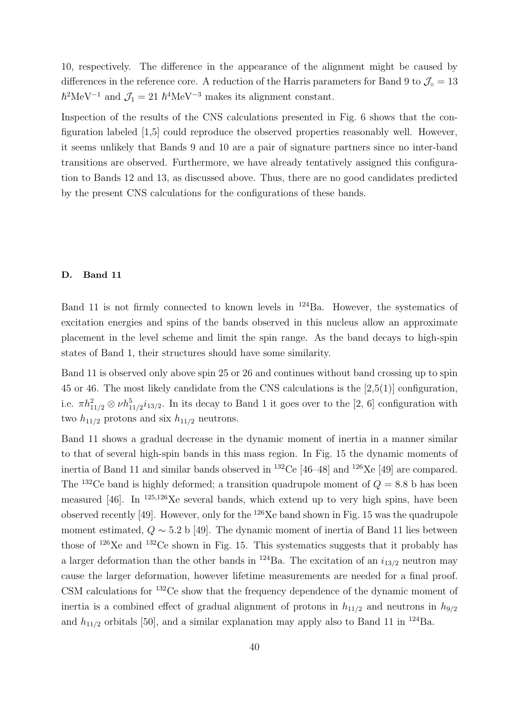10, respectively. The difference in the appearance of the alignment might be caused by differences in the reference core. A reduction of the Harris parameters for Band 9 to  $\mathcal{J}_{\circ} = 13$  $\hbar^2\text{MeV}^{-1}$  and  $\mathcal{J}_1 = 21 \hbar^4\text{MeV}^{-3}$  makes its alignment constant.

Inspection of the results of the CNS calculations presented in Fig. 6 shows that the configuration labeled [1,5] could reproduce the observed properties reasonably well. However, it seems unlikely that Bands 9 and 10 are a pair of signature partners since no inter-band transitions are observed. Furthermore, we have already tentatively assigned this configuration to Bands 12 and 13, as discussed above. Thus, there are no good candidates predicted by the present CNS calculations for the configurations of these bands.

## D. Band 11

Band 11 is not firmly connected to known levels in  $^{124}$ Ba. However, the systematics of excitation energies and spins of the bands observed in this nucleus allow an approximate placement in the level scheme and limit the spin range. As the band decays to high-spin states of Band 1, their structures should have some similarity.

Band 11 is observed only above spin 25 or 26 and continues without band crossing up to spin 45 or 46. The most likely candidate from the CNS calculations is the [2,5(1)] configuration, i.e.  $\pi h_{11/2}^2 \otimes \nu h_{11/2}^5 i_{13/2}$ . In its decay to Band 1 it goes over to the [2, 6] configuration with two  $h_{11/2}$  protons and six  $h_{11/2}$  neutrons.

Band 11 shows a gradual decrease in the dynamic moment of inertia in a manner similar to that of several high-spin bands in this mass region. In Fig. 15 the dynamic moments of inertia of Band 11 and similar bands observed in  $^{132}$ Ce [46–48] and  $^{126}$ Xe [49] are compared. The <sup>132</sup>Ce band is highly deformed; a transition quadrupole moment of  $Q = 8.8$  b has been measured [46]. In  $^{125,126}$ Xe several bands, which extend up to very high spins, have been observed recently [49]. However, only for the <sup>126</sup>Xe band shown in Fig. 15 was the quadrupole moment estimated,  $Q \sim 5.2$  b [49]. The dynamic moment of inertia of Band 11 lies between those of <sup>126</sup>Xe and <sup>132</sup>Ce shown in Fig. 15. This systematics suggests that it probably has a larger deformation than the other bands in <sup>124</sup>Ba. The excitation of an  $i_{13/2}$  neutron may cause the larger deformation, however lifetime measurements are needed for a final proof. CSM calculations for <sup>132</sup>Ce show that the frequency dependence of the dynamic moment of inertia is a combined effect of gradual alignment of protons in  $h_{11/2}$  and neutrons in  $h_{9/2}$ and  $h_{11/2}$  orbitals [50], and a similar explanation may apply also to Band 11 in <sup>124</sup>Ba.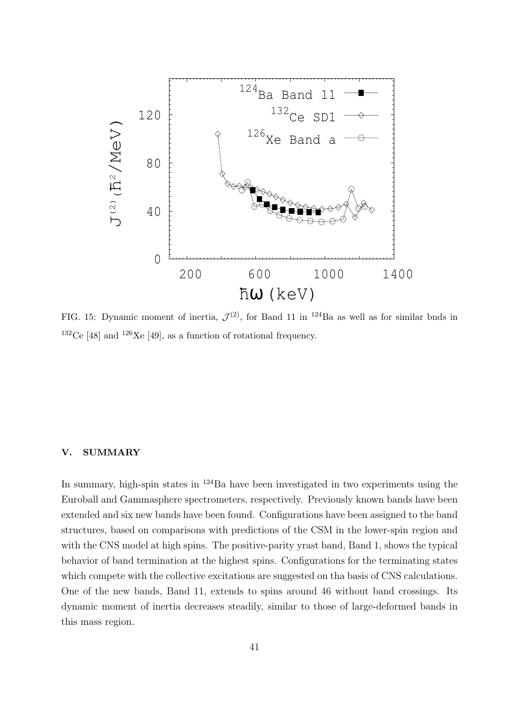

FIG. 15: Dynamic moment of inertia,  $\mathcal{J}^{(2)}$ , for Band 11 in <sup>124</sup>Ba as well as for similar bnds in  $132$ Ce [48] and  $126$ Xe [49], as a function of rotational frequency.

# V. SUMMARY

In summary, high-spin states in <sup>124</sup>Ba have been investigated in two experiments using the Euroball and Gammasphere spectrometers, respectively. Previously known bands have been extended and six new bands have been found. Configurations have been assigned to the band structures, based on comparisons with predictions of the CSM in the lower-spin region and with the CNS model at high spins. The positive-parity yrast band, Band 1, shows the typical behavior of band termination at the highest spins. Configurations for the terminating states which compete with the collective excitations are suggested on tha basis of CNS calculations. One of the new bands, Band 11, extends to spins around 46 without band crossings. Its dynamic moment of inertia decreases steadily, similar to those of large-deformed bands in this mass region.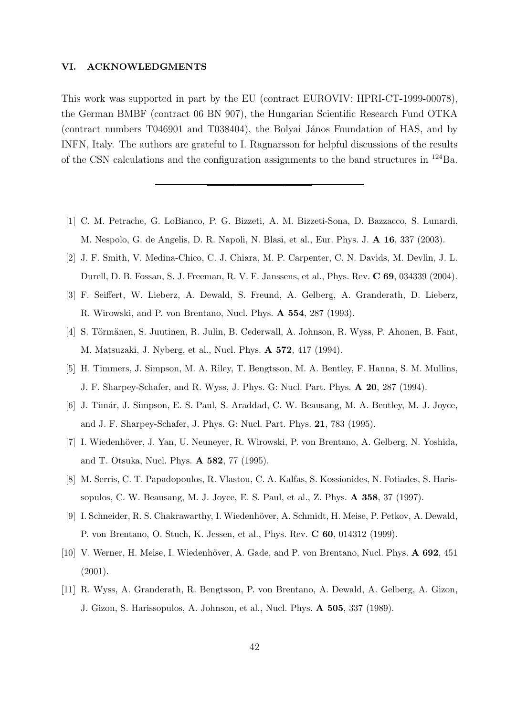#### VI. ACKNOWLEDGMENTS

This work was supported in part by the EU (contract EUROVIV: HPRI-CT-1999-00078), the German BMBF (contract 06 BN 907), the Hungarian Scientific Research Fund OTKA (contract numbers  $T046901$  and  $T038404$ ), the Bolyai János Foundation of HAS, and by INFN, Italy. The authors are grateful to I. Ragnarsson for helpful discussions of the results of the CSN calculations and the configuration assignments to the band structures in  $^{124}$ Ba.

- [1] C. M. Petrache, G. LoBianco, P. G. Bizzeti, A. M. Bizzeti-Sona, D. Bazzacco, S. Lunardi, M. Nespolo, G. de Angelis, D. R. Napoli, N. Blasi, et al., Eur. Phys. J. A 16, 337 (2003).
- [2] J. F. Smith, V. Medina-Chico, C. J. Chiara, M. P. Carpenter, C. N. Davids, M. Devlin, J. L. Durell, D. B. Fossan, S. J. Freeman, R. V. F. Janssens, et al., Phys. Rev. C 69, 034339 (2004).
- [3] F. Seiffert, W. Lieberz, A. Dewald, S. Freund, A. Gelberg, A. Granderath, D. Lieberz, R. Wirowski, and P. von Brentano, Nucl. Phys. A 554, 287 (1993).
- [4] S. Törmänen, S. Juutinen, R. Julin, B. Cederwall, A. Johnson, R. Wyss, P. Ahonen, B. Fant, M. Matsuzaki, J. Nyberg, et al., Nucl. Phys. A 572, 417 (1994).
- [5] H. Timmers, J. Simpson, M. A. Riley, T. Bengtsson, M. A. Bentley, F. Hanna, S. M. Mullins, J. F. Sharpey-Schafer, and R. Wyss, J. Phys. G: Nucl. Part. Phys. A 20, 287 (1994).
- [6] J. Timár, J. Simpson, E. S. Paul, S. Araddad, C. W. Beausang, M. A. Bentley, M. J. Joyce, and J. F. Sharpey-Schafer, J. Phys. G: Nucl. Part. Phys. 21, 783 (1995).
- [7] I. Wiedenhöver, J. Yan, U. Neuneyer, R. Wirowski, P. von Brentano, A. Gelberg, N. Yoshida, and T. Otsuka, Nucl. Phys. A 582, 77 (1995).
- [8] M. Serris, C. T. Papadopoulos, R. Vlastou, C. A. Kalfas, S. Kossionides, N. Fotiades, S. Harissopulos, C. W. Beausang, M. J. Joyce, E. S. Paul, et al., Z. Phys. A 358, 37 (1997).
- [9] I. Schneider, R. S. Chakrawarthy, I. Wiedenhöver, A. Schmidt, H. Meise, P. Petkov, A. Dewald, P. von Brentano, O. Stuch, K. Jessen, et al., Phys. Rev. C 60, 014312 (1999).
- [10] V. Werner, H. Meise, I. Wiedenhöver, A. Gade, and P. von Brentano, Nucl. Phys. A 692, 451 (2001).
- [11] R. Wyss, A. Granderath, R. Bengtsson, P. von Brentano, A. Dewald, A. Gelberg, A. Gizon, J. Gizon, S. Harissopulos, A. Johnson, et al., Nucl. Phys. A 505, 337 (1989).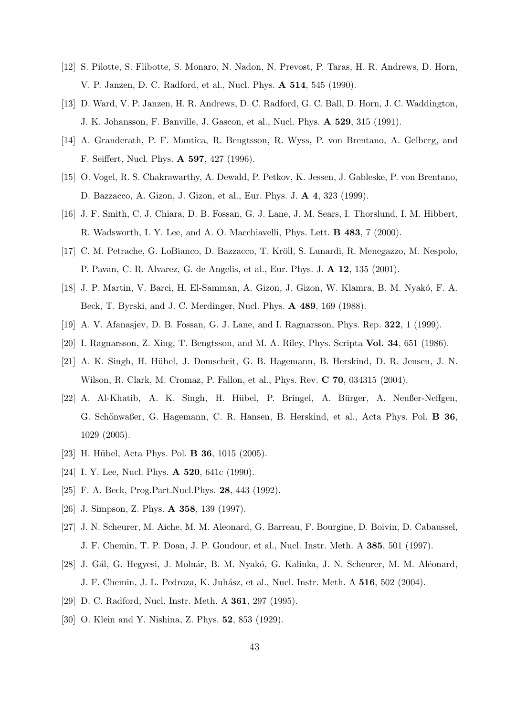- [12] S. Pilotte, S. Flibotte, S. Monaro, N. Nadon, N. Prevost, P. Taras, H. R. Andrews, D. Horn, V. P. Janzen, D. C. Radford, et al., Nucl. Phys. A 514, 545 (1990).
- [13] D. Ward, V. P. Janzen, H. R. Andrews, D. C. Radford, G. C. Ball, D. Horn, J. C. Waddington, J. K. Johansson, F. Banville, J. Gascon, et al., Nucl. Phys. A 529, 315 (1991).
- [14] A. Granderath, P. F. Mantica, R. Bengtsson, R. Wyss, P. von Brentano, A. Gelberg, and F. Seiffert, Nucl. Phys. A 597, 427 (1996).
- [15] O. Vogel, R. S. Chakrawarthy, A. Dewald, P. Petkov, K. Jessen, J. Gableske, P. von Brentano, D. Bazzacco, A. Gizon, J. Gizon, et al., Eur. Phys. J. A 4, 323 (1999).
- [16] J. F. Smith, C. J. Chiara, D. B. Fossan, G. J. Lane, J. M. Sears, I. Thorslund, I. M. Hibbert, R. Wadsworth, I. Y. Lee, and A. O. Macchiavelli, Phys. Lett. B 483, 7 (2000).
- [17] C. M. Petrache, G. LoBianco, D. Bazzacco, T. Kröll, S. Lunardi, R. Menegazzo, M. Nespolo, P. Pavan, C. R. Alvarez, G. de Angelis, et al., Eur. Phys. J. A 12, 135 (2001).
- [18] J. P. Martin, V. Barci, H. El-Samman, A. Gizon, J. Gizon, W. Klamra, B. M. Nyak´o, F. A. Beck, T. Byrski, and J. C. Merdinger, Nucl. Phys. A 489, 169 (1988).
- [19] A. V. Afanasjev, D. B. Fossan, G. J. Lane, and I. Ragnarsson, Phys. Rep. 322, 1 (1999).
- [20] I. Ragnarsson, Z. Xing, T. Bengtsson, and M. A. Riley, Phys. Scripta Vol. 34, 651 (1986).
- [21] A. K. Singh, H. Hübel, J. Domscheit, G. B. Hagemann, B. Herskind, D. R. Jensen, J. N. Wilson, R. Clark, M. Cromaz, P. Fallon, et al., Phys. Rev. C 70, 034315 (2004).
- [22] A. Al-Khatib, A. K. Singh, H. H¨ubel, P. Bringel, A. B¨urger, A. Neußer-Neffgen, G. Schönwaßer, G. Hagemann, C. R. Hansen, B. Herskind, et al., Acta Phys. Pol. **B 36**, 1029 (2005).
- [23] H. Hübel, Acta Phys. Pol. **B 36**, 1015 (2005).
- [24] I. Y. Lee, Nucl. Phys. **A 520**, 641c (1990).
- [25] F. A. Beck, Prog.Part.Nucl.Phys. 28, 443 (1992).
- [26] J. Simpson, Z. Phys. **A 358**, 139 (1997).
- [27] J. N. Scheurer, M. Aiche, M. M. Aleonard, G. Barreau, F. Bourgine, D. Boivin, D. Cabaussel, J. F. Chemin, T. P. Doan, J. P. Goudour, et al., Nucl. Instr. Meth. A 385, 501 (1997).
- [28] J. Gál, G. Hegyesi, J. Molnár, B. M. Nyakó, G. Kalinka, J. N. Scheurer, M. M. Aléonard, J. F. Chemin, J. L. Pedroza, K. Juh´asz, et al., Nucl. Instr. Meth. A 516, 502 (2004).
- [29] D. C. Radford, Nucl. Instr. Meth. A 361, 297 (1995).
- [30] O. Klein and Y. Nishina, Z. Phys. **52**, 853 (1929).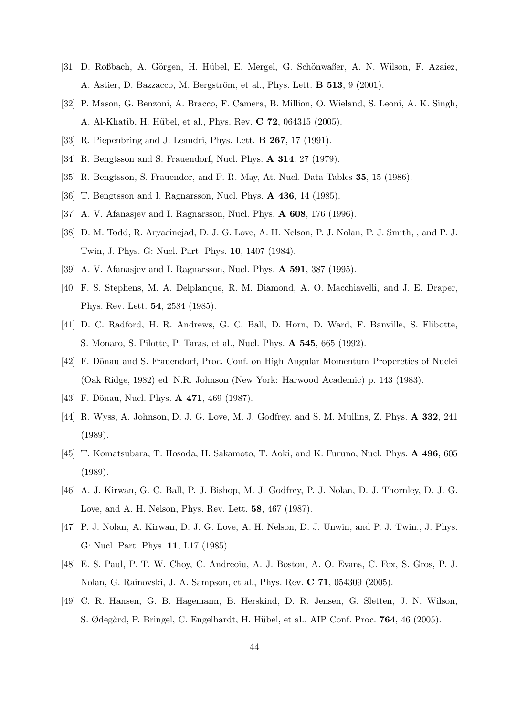- [31] D. Roßbach, A. Görgen, H. Hübel, E. Mergel, G. Schönwaßer, A. N. Wilson, F. Azaiez, A. Astier, D. Bazzacco, M. Bergström, et al., Phys. Lett. **B 513**, 9 (2001).
- [32] P. Mason, G. Benzoni, A. Bracco, F. Camera, B. Million, O. Wieland, S. Leoni, A. K. Singh, A. Al-Khatib, H. Hübel, et al., Phys. Rev. C 72, 064315 (2005).
- [33] R. Piepenbring and J. Leandri, Phys. Lett. B 267, 17 (1991).
- [34] R. Bengtsson and S. Frauendorf, Nucl. Phys. **A 314**, 27 (1979).
- [35] R. Bengtsson, S. Frauendor, and F. R. May, At. Nucl. Data Tables 35, 15 (1986).
- [36] T. Bengtsson and I. Ragnarsson, Nucl. Phys. **A 436**, 14 (1985).
- [37] A. V. Afanasjev and I. Ragnarsson, Nucl. Phys. **A 608**, 176 (1996).
- [38] D. M. Todd, R. Aryaeinejad, D. J. G. Love, A. H. Nelson, P. J. Nolan, P. J. Smith, , and P. J. Twin, J. Phys. G: Nucl. Part. Phys. 10, 1407 (1984).
- [39] A. V. Afanasjev and I. Ragnarsson, Nucl. Phys. A 591, 387 (1995).
- [40] F. S. Stephens, M. A. Delplanque, R. M. Diamond, A. O. Macchiavelli, and J. E. Draper, Phys. Rev. Lett. 54, 2584 (1985).
- [41] D. C. Radford, H. R. Andrews, G. C. Ball, D. Horn, D. Ward, F. Banville, S. Flibotte, S. Monaro, S. Pilotte, P. Taras, et al., Nucl. Phys. A 545, 665 (1992).
- [42] F. Dönau and S. Frauendorf, Proc. Conf. on High Angular Momentum Propereties of Nuclei (Oak Ridge, 1982) ed. N.R. Johnson (New York: Harwood Academic) p. 143 (1983).
- [43] F. Dönau, Nucl. Phys. **A 471**, 469 (1987).
- [44] R. Wyss, A. Johnson, D. J. G. Love, M. J. Godfrey, and S. M. Mullins, Z. Phys. A 332, 241 (1989).
- [45] T. Komatsubara, T. Hosoda, H. Sakamoto, T. Aoki, and K. Furuno, Nucl. Phys. A 496, 605 (1989).
- [46] A. J. Kirwan, G. C. Ball, P. J. Bishop, M. J. Godfrey, P. J. Nolan, D. J. Thornley, D. J. G. Love, and A. H. Nelson, Phys. Rev. Lett. 58, 467 (1987).
- [47] P. J. Nolan, A. Kirwan, D. J. G. Love, A. H. Nelson, D. J. Unwin, and P. J. Twin., J. Phys. G: Nucl. Part. Phys. 11, L17 (1985).
- [48] E. S. Paul, P. T. W. Choy, C. Andreoiu, A. J. Boston, A. O. Evans, C. Fox, S. Gros, P. J. Nolan, G. Rainovski, J. A. Sampson, et al., Phys. Rev. C 71, 054309 (2005).
- [49] C. R. Hansen, G. B. Hagemann, B. Herskind, D. R. Jensen, G. Sletten, J. N. Wilson, S. Ødegård, P. Bringel, C. Engelhardt, H. Hübel, et al., AIP Conf. Proc. **764**, 46 (2005).